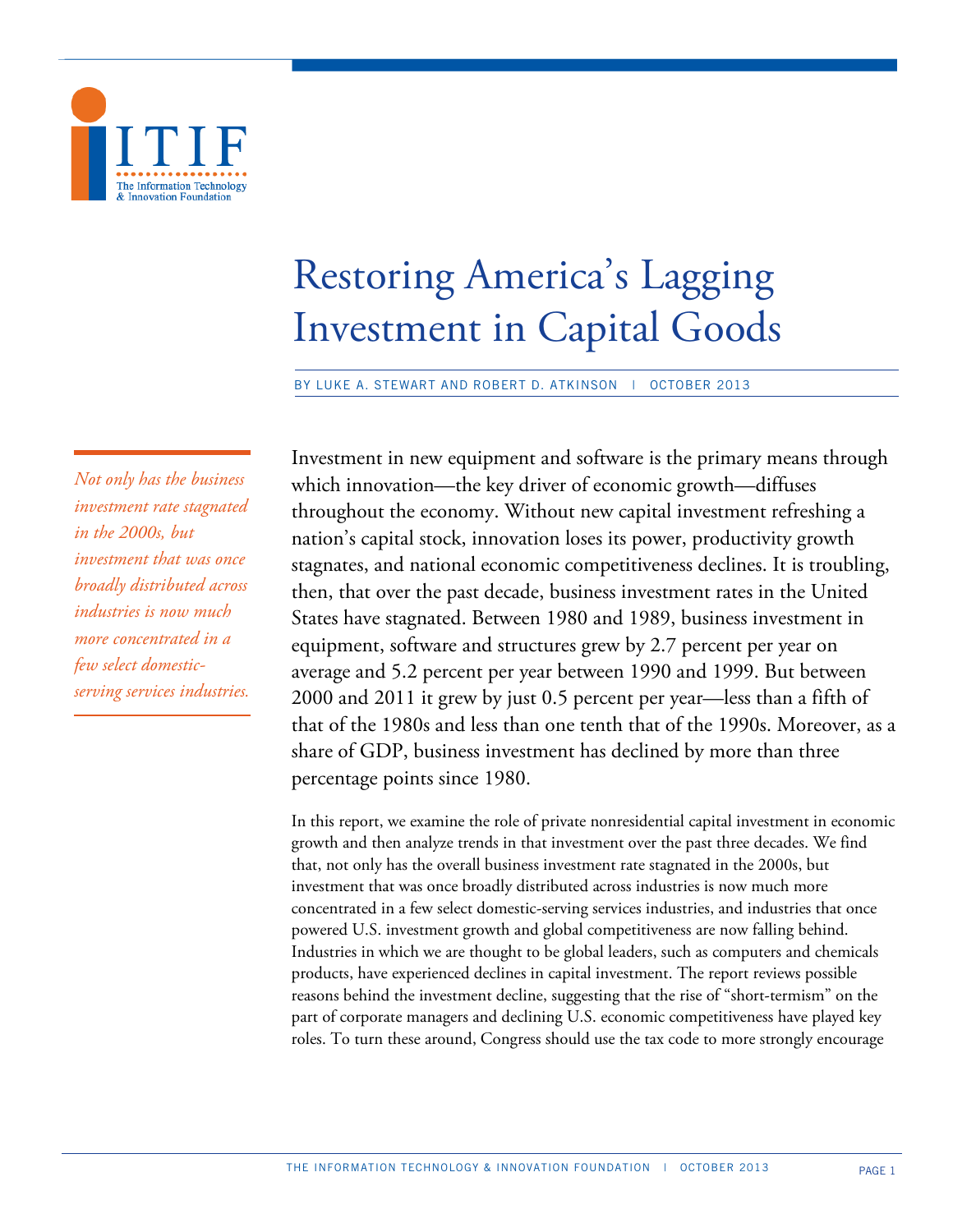

# Restoring America's Lagging Investment in Capital Goods

BY LUKE A. STEWART AND ROBERT D. ATKINSON | OCTOBER 2013

*Not only has the business investment rate stagnated in the 2000s, but investment that was once broadly distributed across industries is now much more concentrated in a few select domesticserving services industries.* Investment in new equipment and software is the primary means through which innovation—the key driver of economic growth—diffuses throughout the economy. Without new capital investment refreshing a nation's capital stock, innovation loses its power, productivity growth stagnates, and national economic competitiveness declines. It is troubling, then, that over the past decade, business investment rates in the United States have stagnated. Between 1980 and 1989, business investment in equipment, software and structures grew by 2.7 percent per year on average and 5.2 percent per year between 1990 and 1999. But between 2000 and 2011 it grew by just 0.5 percent per year—less than a fifth of that of the 1980s and less than one tenth that of the 1990s. Moreover, as a share of GDP, business investment has declined by more than three percentage points since 1980.

In this report, we examine the role of private nonresidential capital investment in economic growth and then analyze trends in that investment over the past three decades. We find that, not only has the overall business investment rate stagnated in the 2000s, but investment that was once broadly distributed across industries is now much more concentrated in a few select domestic-serving services industries, and industries that once powered U.S. investment growth and global competitiveness are now falling behind. Industries in which we are thought to be global leaders, such as computers and chemicals products, have experienced declines in capital investment. The report reviews possible reasons behind the investment decline, suggesting that the rise of "short-termism" on the part of corporate managers and declining U.S. economic competitiveness have played key roles. To turn these around, Congress should use the tax code to more strongly encourage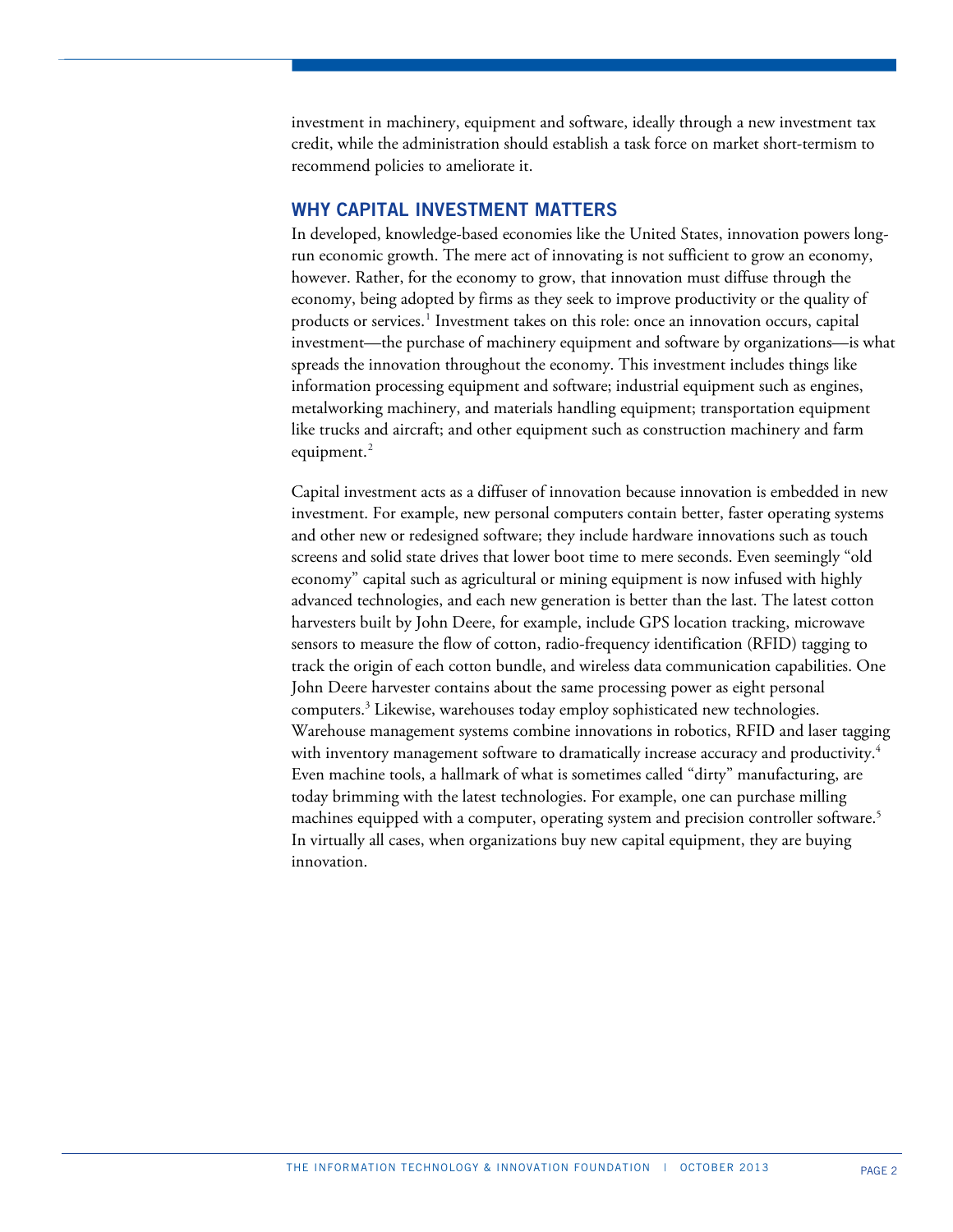investment in machinery, equipment and software, ideally through a new investment tax credit, while the administration should establish a task force on market short-termism to recommend policies to ameliorate it.

## **WHY CAPITAL INVESTMENT MATTERS**

In developed, knowledge-based economies like the United States, innovation powers longrun economic growth. The mere act of innovating is not sufficient to grow an economy, however. Rather, for the economy to grow, that innovation must diffuse through the economy, being adopted by firms as they seek to improve productivity or the quality of products or services.<sup>[1](#page-38-0)</sup> Investment takes on this role: once an innovation occurs, capital investment—the purchase of machinery equipment and software by organizations—is what spreads the innovation throughout the economy. This investment includes things like information processing equipment and software; industrial equipment such as engines, metalworking machinery, and materials handling equipment; transportation equipment like trucks and aircraft; and other equipment such as construction machinery and farm equipment.<sup>[2](#page-38-1)</sup>

Capital investment acts as a diffuser of innovation because innovation is embedded in new investment. For example, new personal computers contain better, faster operating systems and other new or redesigned software; they include hardware innovations such as touch screens and solid state drives that lower boot time to mere seconds. Even seemingly "old economy" capital such as agricultural or mining equipment is now infused with highly advanced technologies, and each new generation is better than the last. The latest cotton harvesters built by John Deere, for example, include GPS location tracking, microwave sensors to measure the flow of cotton, radio-frequency identification (RFID) tagging to track the origin of each cotton bundle, and wireless data communication capabilities. One John Deere harvester contains about the same processing power as eight personal computers.3 Likewise, warehouses today employ sophisticated new technologies. Warehouse management systems combine innovations in robotics, RFID and laser tagging with inventory management software to dramatically increase accuracy and productivity.<sup>4</sup> Even machine tools, a hallmark of what is sometimes called "dirty" manufacturing, are today brimming with the latest technologies. For example, one can purchase milling machines equipped with a computer, operating system and precision controller software.<sup>5</sup> In virtually all cases, when organizations buy new capital equipment, they are buying innovation.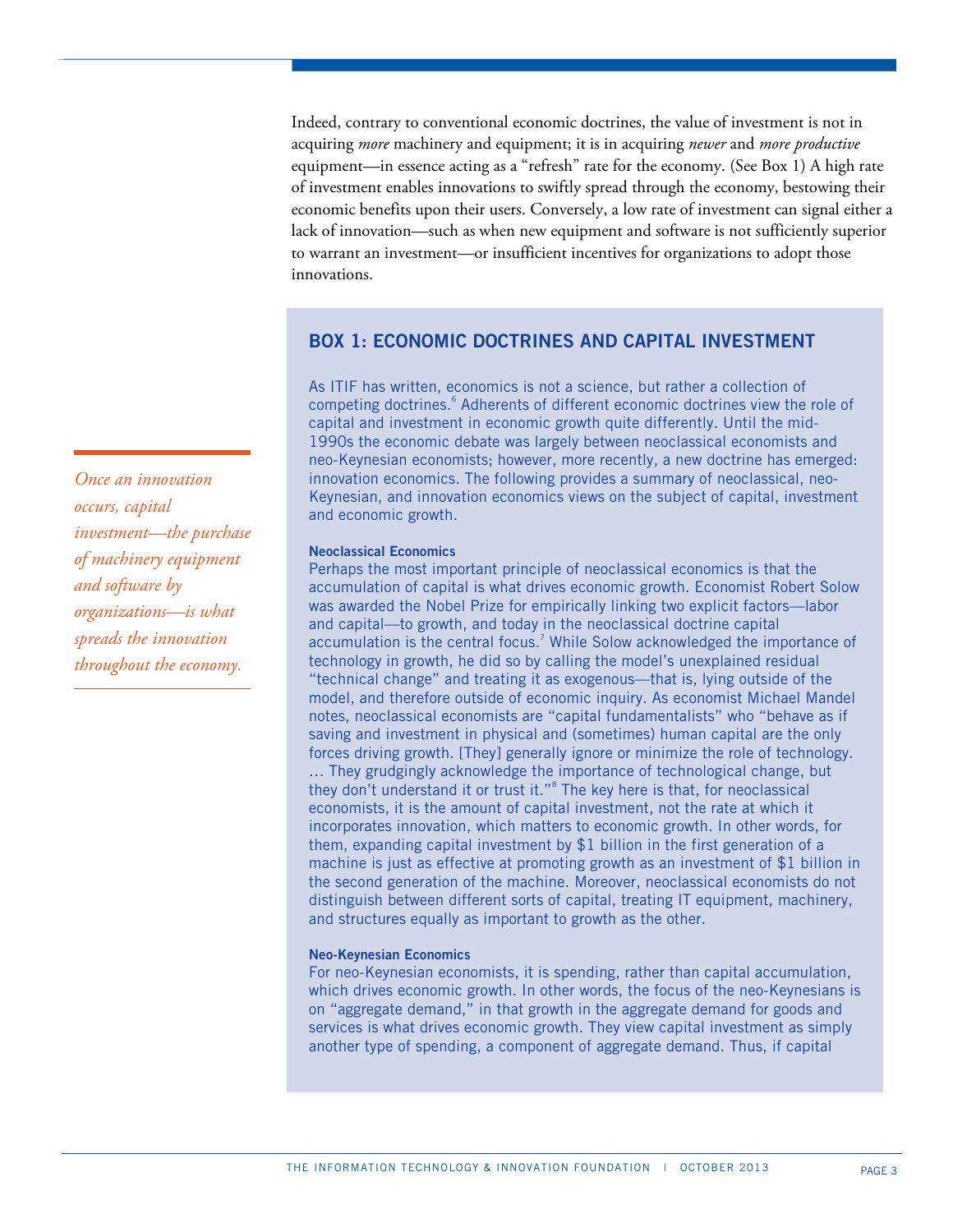Indeed, contrary to conventional economic doctrines, the value of investment is not in acquiring *more* machinery and equipment; it is in acquiring *newer* and *more productive* equipment—in essence acting as a "refresh" rate for the economy. (See Box 1) A high rate of investment enables innovations to swiftly spread through the economy, bestowing their economic benefits upon their users. Conversely, a low rate of investment can signal either a lack of innovation—such as when new equipment and software is not sufficiently superior to warrant an investment—or insufficient incentives for organizations to adopt those innovations.

# **BOX 1: ECONOMIC DOCTRINES AND CAPITAL INVESTMENT**

As ITIF has written, economics is not a science, but rather a collection of competing doctrines.<sup>6</sup> Adherents of different economic doctrines view the role of capital and investment in economic growth quite differently. Until the mid-1990s the economic debate was largely between neoclassical economists and neo-Keynesian economists; however, more recently, a new doctrine has emerged: innovation economics. The following provides a summary of neoclassical, neo-Keynesian, and innovation economics views on the subject of capital, investment and economic growth.

## **Neoclassical Economics**

Perhaps the most important principle of neoclassical economics is that the accumulation of capital is what drives economic growth. Economist Robert Solow was awarded the Nobel Prize for empirically linking two explicit factors—labor and capital—to growth, and today in the neoclassical doctrine capital accumulation is the central focus.<sup>7</sup> While Solow acknowledged the importance of technology in growth, he did so by calling the model's unexplained residual "technical change" and treating it as exogenous—that is, lying outside of the model, and therefore outside of economic inquiry. As economist Michael Mandel notes, neoclassical economists are "capital fundamentalists" who "behave as if saving and investment in physical and (sometimes) human capital are the only forces driving growth. [They] generally ignore or minimize the role of technology. … They grudgingly acknowledge the importance of technological change, but they don't understand it or trust it."<sup>8</sup> The key here is that, for neoclassical economists, it is the amount of capital investment, not the rate at which it incorporates innovation, which matters to economic growth. In other words, for them, expanding capital investment by \$1 billion in the first generation of a machine is just as effective at promoting growth as an investment of \$1 billion in the second generation of the machine. Moreover, neoclassical economists do not distinguish between different sorts of capital, treating IT equipment, machinery, and structures equally as important to growth as the other.

## **Neo-Keynesian Economics**

For neo-Keynesian economists, it is spending, rather than capital accumulation, which drives economic growth. In other words, the focus of the neo-Keynesians is on "aggregate demand," in that growth in the aggregate demand for goods and services is what drives economic growth. They view capital investment as simply another type of spending, a component of aggregate demand. Thus, if capital

*Once an innovation occurs, capital investmen[t—](#page-38-2)the purchase of machinery equipment and software by organizations—is what spreads the innovation throughout the economy.*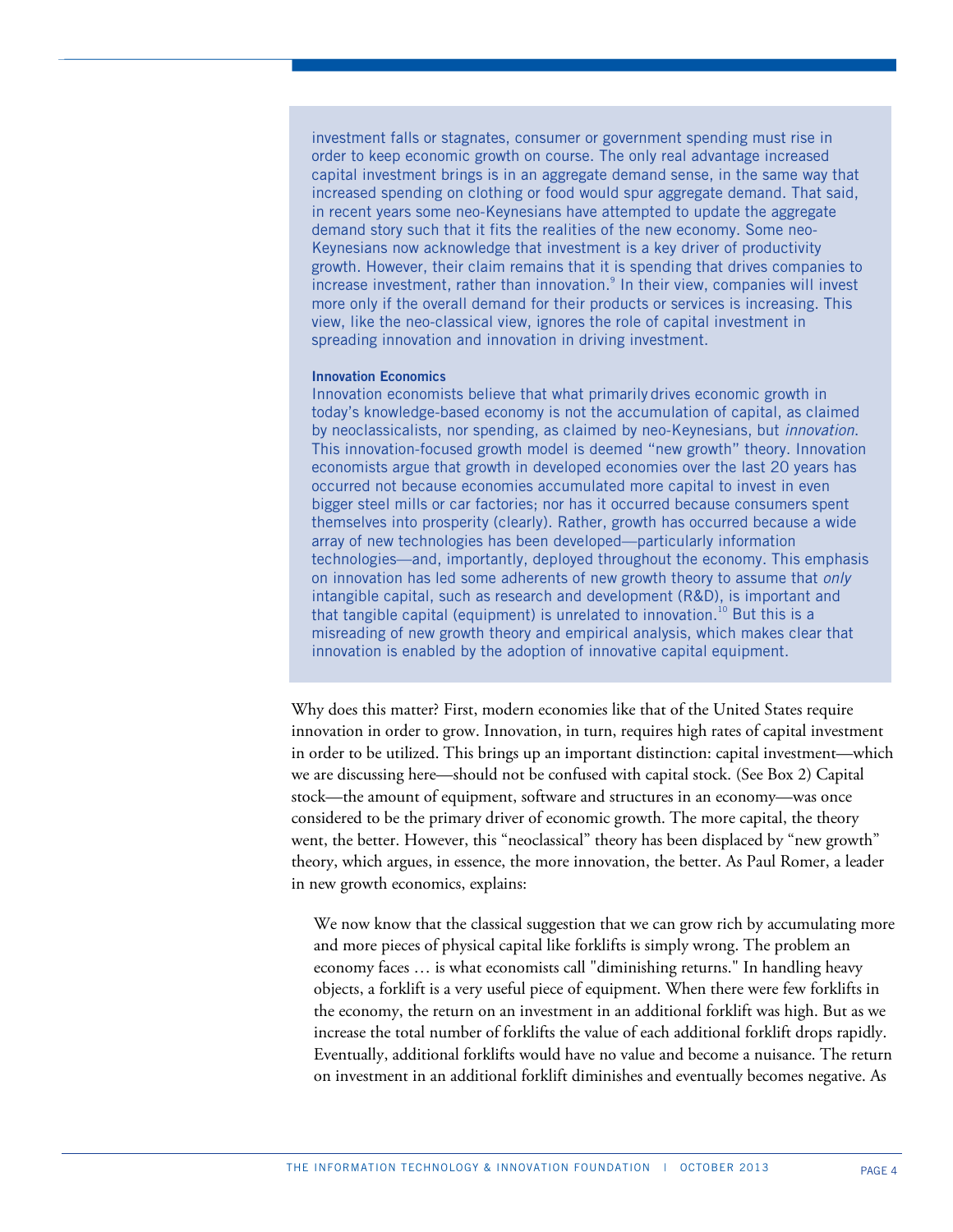investment falls or stagnates, consumer or government spending must rise in order to keep economic growth on course. The only real advantage increased capital investment brings is in an aggregate demand sense, in the same way that increased spending on clothing or food would spur aggregate demand. That said, in recent years some neo-Keynesians have attempted to update the aggregate demand story such that it fits the realities of the new economy. Some neo-Keynesians now acknowledge that investment is a key driver of productivity growth. However, their claim remains that it is spending that drives companies to increase investment, rather than innovation.<sup>9</sup> In their view, companies will invest more only if the overall demand for their products or services is increasing. This view, like the neo-classical view, ignores the role of capital investment in spreading innovation and innovation in driving investment.

## **Innovation Economics**

Innovation economists believe that what primarily drives economic growth in today's knowledge-based economy is not the accumulation of capital, as claimed by neoclassicalists, nor spending, as claimed by neo-Keynesians, but *innovation*. This innovation-focused growth model is deemed "new growth" theory. Innovation economists argue that growth in developed economies over the last 20 years has occurred not because economies accumulated more capital to invest in even bigger steel mills or car factories; nor has it occurred because consumers spent themselves into prosperity (clearly). Rather, growth has occurred because a wide array of new technologies has been developed—particularly information technologies—and, importantly, deployed throughout the economy. This emphasis on innovation has led some adherents of new growth theory to assume that *only* intangible capital, such as research and development (R&D), is important and that tangible capital (equipment) is unrelated to innovation. <sup>10</sup> But this is a misreading of new growth theory and empirical analysis, which makes clear that innovation is enabled by the adoption of innovative capital equipment.

Why does this matter? First, modern economies like that of the United States require innovation in order to grow. Innovation, in turn, requires high rates of capital investment in order to be utilized. This brings up an important distinction: capital investment—which we are discussing here—should not be confused with capital stock. (See Box 2) Capital stock—the amount of equipment, software and structures in an economy—was once considered to be the primary driver of economic growth. The more capital, the theory went, the better. However, this "neoclassical" theory has been displaced by "new growth" theory, which argues, in essence, the more innovation, the better. As Paul Romer, a leader in new growth economics, explains:

We now know that the classical suggestion that we can grow rich by accumulating more and more pieces of physical capital like forklifts is simply wrong. The problem an economy faces … is what economists call "diminishing returns." In handling heavy objects, a forklift is a very useful piece of equipment. When there were few forklifts in the economy, the return on an investment in an additional forklift was high. But as we increase the total number of forklifts the value of each additional forklift drops rapidly. Eventually, additional forklifts would have no value and become a nuisance. The return on investment in an additional forklift diminishes and eventually becomes negative. As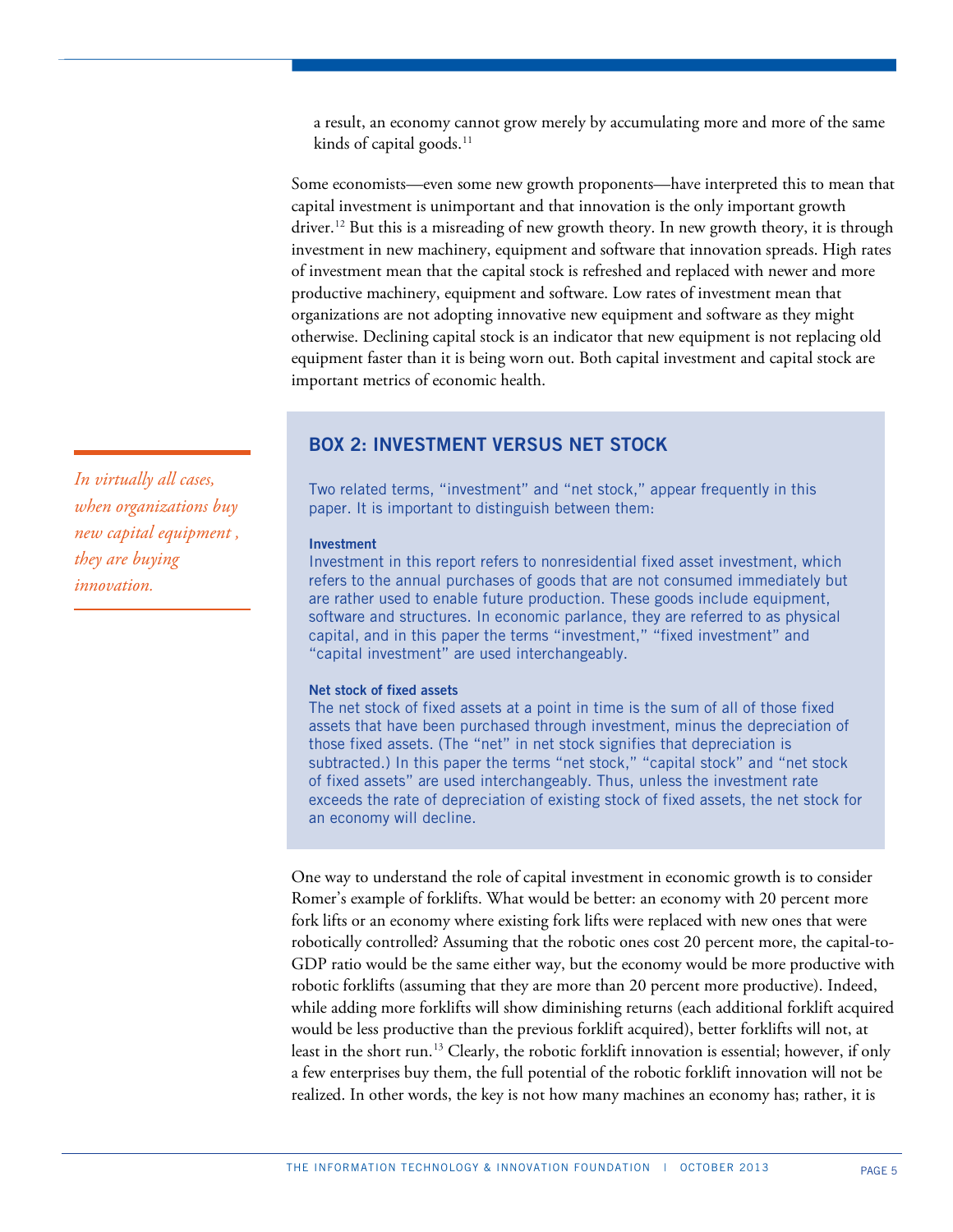a result, an economy cannot grow merely by accumulating more and more of the same kinds of capital goods.<sup>[11](#page-38-3)</sup>

Some economists—even some new growth proponents—have interpreted this to mean that capital investment is unimportant and that innovation is the only important growth driver.<sup>[12](#page-38-4)</sup> But this is a misreading of new growth theory. In new growth theory, it is through investment in new machinery, equipment and software that innovation spreads. High rates of investment mean that the capital stock is refreshed and replaced with newer and more productive machinery, equipment and software. Low rates of investment mean that organizations are not adopting innovative new equipment and software as they might otherwise. Declining capital stock is an indicator that new equipment is not replacing old equipment faster than it is being worn out. Both capital investment and capital stock are important metrics of economic health.

# **BOX 2: INVESTMENT VERSUS NET STOCK**

Two related terms, "investment" and "net stock," appear frequently in this paper. It is important to distinguish between them:

## **Investment**

Investment in this report refers to nonresidential fixed asset investment, which refers to the annual purchases of goods that are not consumed immediately but are rather used to enable future production. These goods include equipment, software and structures. In economic parlance, they are referred to as physical capital, and in this paper the terms "investment," "fixed investment" and "capital investment" are used interchangeably.

## **Net stock of fixed assets**

The net stock of fixed assets at a point in time is the sum of all of those fixed assets that have been purchased through investment, minus the depreciation of those fixed assets. (The "net" in net stock signifies that depreciation is subtracted.) In this paper the terms "net stock," "capital stock" and "net stock of fixed assets" are used interchangeably. Thus, unless the investment rate exceeds the rate of depreciation of existing stock of fixed assets, the net stock for an economy will decline.

One way to understand the role of capital investment in economic growth is to consider Romer's example of forklifts. What would be better: an economy with 20 percent more fork lifts or an economy where existing fork lifts were replaced with new ones that were robotically controlled? Assuming that the robotic ones cost 20 percent more, the capital-to-GDP ratio would be the same either way, but the economy would be more productive with robotic forklifts (assuming that they are more than 20 percent more productive). Indeed, while adding more forklifts will show diminishing returns (each additional forklift acquired would be less productive than the previous forklift acquired), better forklifts will not, at least in the short run.[13](#page-38-5) Clearly, the robotic forklift innovation is essential; however, if only a few enterprises buy them, the full potential of the robotic forklift innovation will not be realized. In other words, the key is not how many machines an economy has; rather, it is

*In virtually all cases, when organizations buy new capital equipment , they are buying innovation.*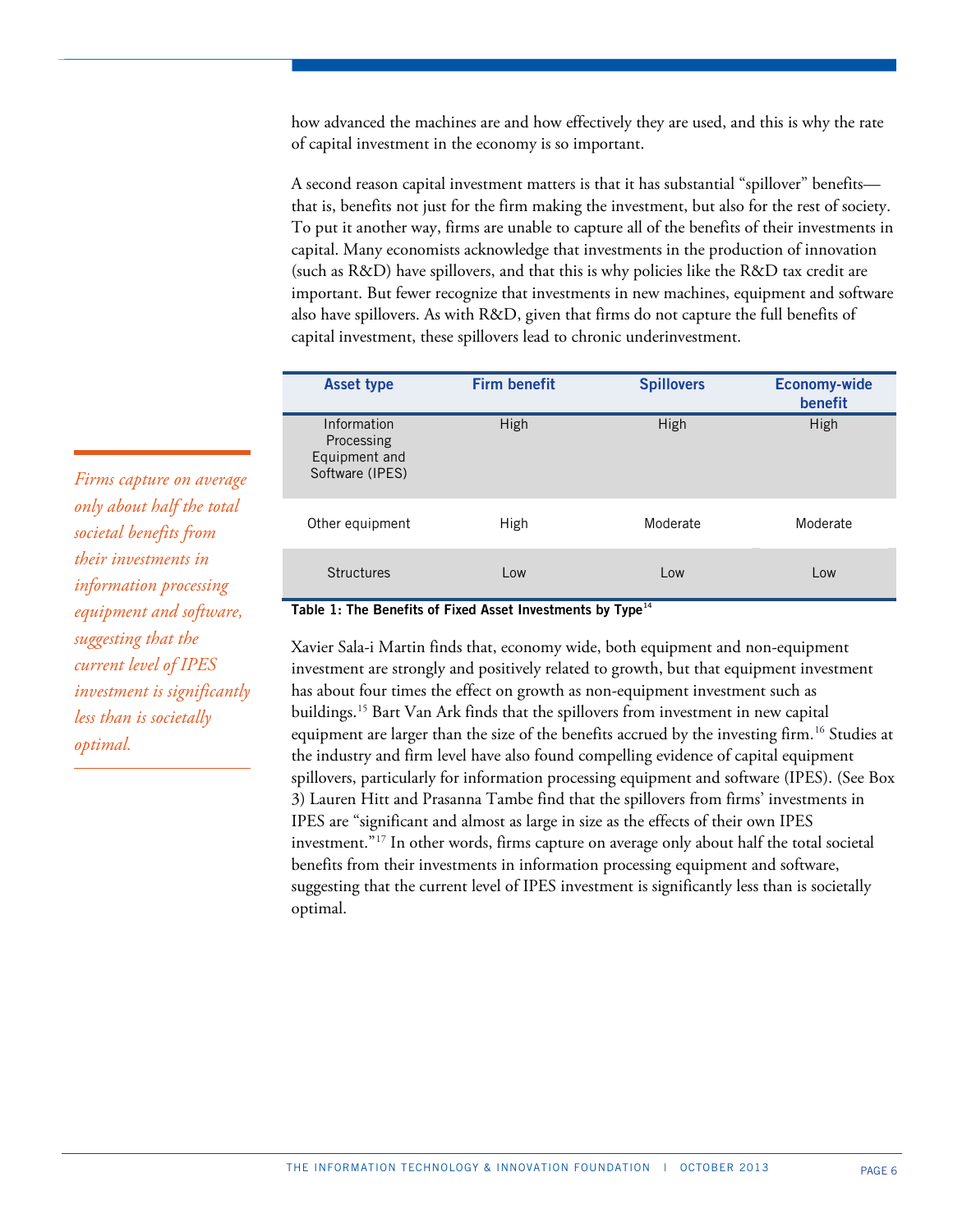how advanced the machines are and how effectively they are used, and this is why the rate of capital investment in the economy is so important.

A second reason capital investment matters is that it has substantial "spillover" benefits that is, benefits not just for the firm making the investment, but also for the rest of society. To put it another way, firms are unable to capture all of the benefits of their investments in capital. Many economists acknowledge that investments in the production of innovation (such as R&D) have spillovers, and that this is why policies like the R&D tax credit are important. But fewer recognize that investments in new machines, equipment and software also have spillovers. As with R&D, given that firms do not capture the full benefits of capital investment, these spillovers lead to chronic underinvestment.

| <b>Asset type</b>                                             | <b>Firm benefit</b> | <b>Spillovers</b> | <b>Economy-wide</b><br>benefit |
|---------------------------------------------------------------|---------------------|-------------------|--------------------------------|
| Information<br>Processing<br>Equipment and<br>Software (IPES) | High                | High              | High                           |
| Other equipment                                               | High                | Moderate          | Moderate                       |
| Structures                                                    | Low                 | Low               | Low                            |

# *Firms capture on average only about half the total societal benefits from their investments in information processing equipment and software, suggesting that the current level of IPES investment is significantly less than is societally optimal.*

## Table 1: The Benefits of Fixed Asset Investments by Type<sup>[14](#page-38-6)</sup>

Xavier Sala-i Martin finds that, economy wide, both equipment and non-equipment investment are strongly and positively related to growth, but that equipment investment has about four times the effect on growth as non-equipment investment such as buildings.[15](#page-38-7) Bart Van Ark finds that the spillovers from investment in new capital equipment are larger than the size of the benefits accrued by the investing firm.<sup>[16](#page-38-8)</sup> Studies at the industry and firm level have also found compelling evidence of capital equipment spillovers, particularly for information processing equipment and software (IPES). (See Box 3) Lauren Hitt and Prasanna Tambe find that the spillovers from firms' investments in IPES are "significant and almost as large in size as the effects of their own IPES investment."[17](#page-38-9) In other words, firms capture on average only about half the total societal benefits from their investments in information processing equipment and software, suggesting that the current level of IPES investment is significantly less than is societally optimal.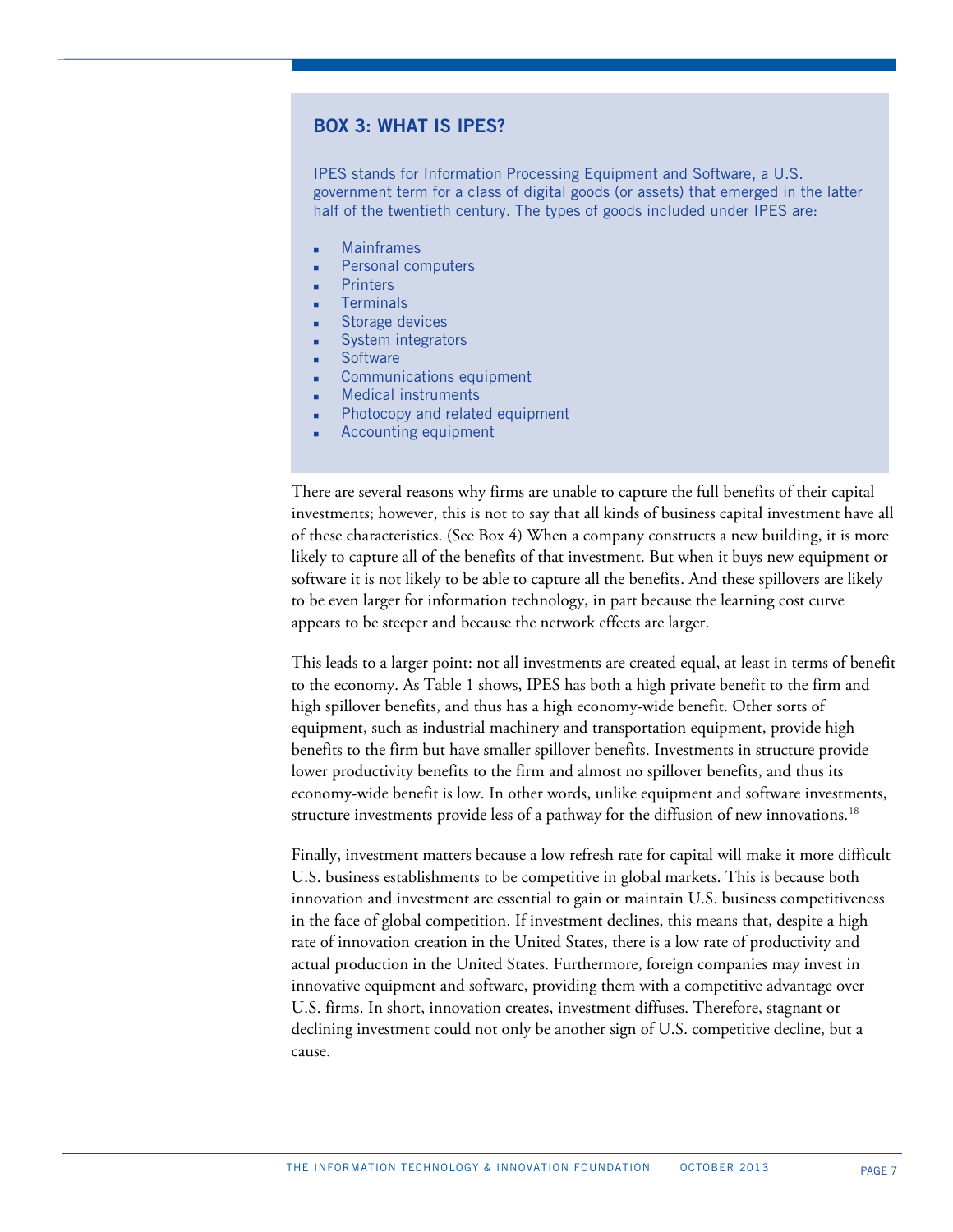# **BOX 3: WHAT IS IPES?**

IPES stands for Information Processing Equipment and Software, a U.S. government term for a class of digital goods (or assets) that emerged in the latter half of the twentieth century. The types of goods included under IPES are:

- Mainframes
- Personal computers
- **Printers**
- **Terminals**
- Storage devices
- System integrators
- **Software**
- Communications equipment
- Medical instruments
- Photocopy and related equipment
- Accounting equipment

There are several reasons why firms are unable to capture the full benefits of their capital investments; however, this is not to say that all kinds of business capital investment have all of these characteristics. (See Box 4) When a company constructs a new building, it is more likely to capture all of the benefits of that investment. But when it buys new equipment or software it is not likely to be able to capture all the benefits. And these spillovers are likely to be even larger for information technology, in part because the learning cost curve appears to be steeper and because the network effects are larger.

This leads to a larger point: not all investments are created equal, at least in terms of benefit to the economy. As Table 1 shows, IPES has both a high private benefit to the firm and high spillover benefits, and thus has a high economy-wide benefit. Other sorts of equipment, such as industrial machinery and transportation equipment, provide high benefits to the firm but have smaller spillover benefits. Investments in structure provide lower productivity benefits to the firm and almost no spillover benefits, and thus its economy-wide benefit is low. In other words, unlike equipment and software investments, structure investments provide less of a pathway for the diffusion of new innovations.<sup>[18](#page-38-10)</sup>

Finally, investment matters because a low refresh rate for capital will make it more difficult U.S. business establishments to be competitive in global markets. This is because both innovation and investment are essential to gain or maintain U.S. business competitiveness in the face of global competition. If investment declines, this means that, despite a high rate of innovation creation in the United States, there is a low rate of productivity and actual production in the United States. Furthermore, foreign companies may invest in innovative equipment and software, providing them with a competitive advantage over U.S. firms. In short, innovation creates, investment diffuses. Therefore, stagnant or declining investment could not only be another sign of U.S. competitive decline, but a cause.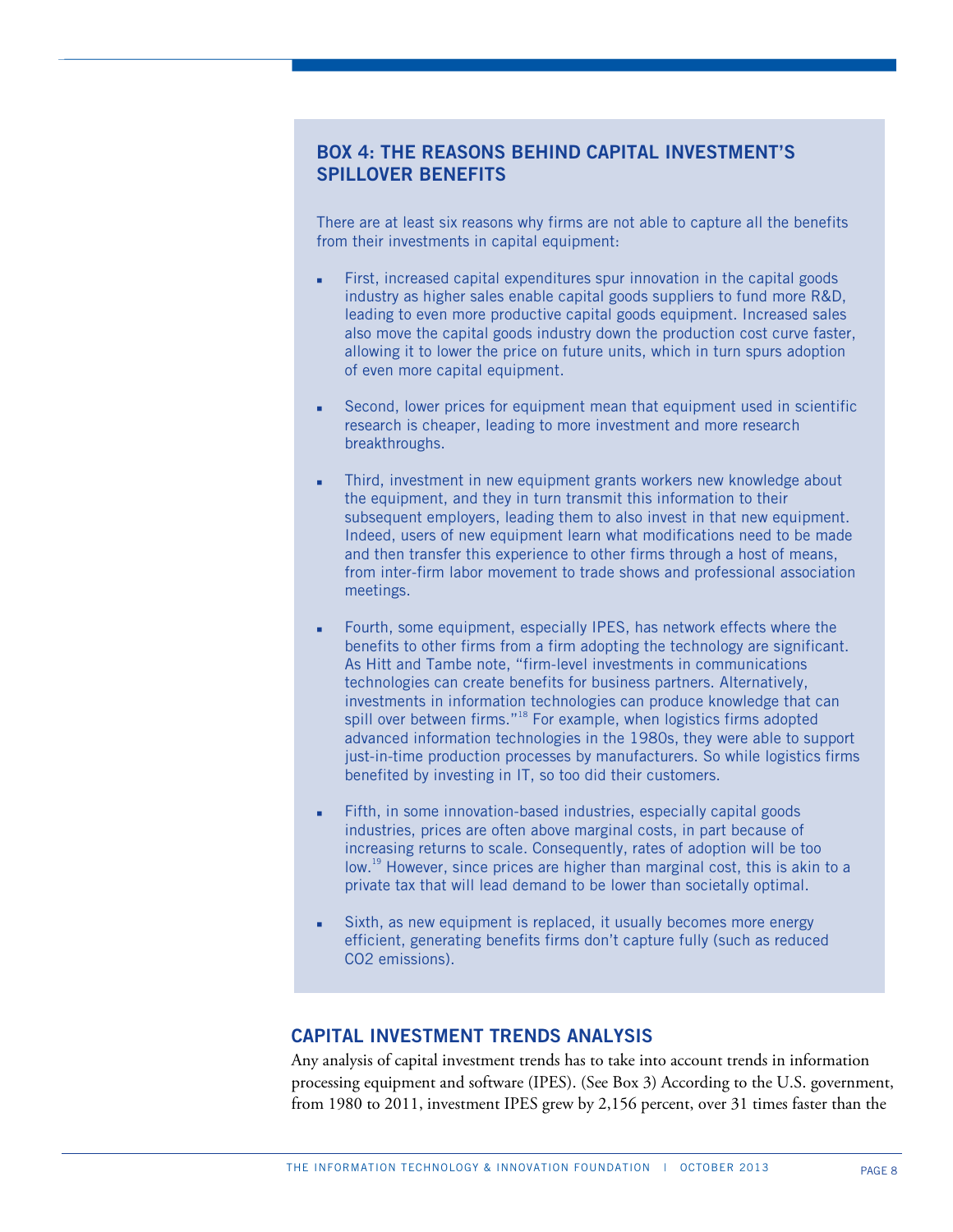# **BOX 4: THE REASONS BEHIND CAPITAL INVESTMENT'S SPILLOVER BENEFITS**

There are at least six reasons why firms are not able to capture all the benefits from their investments in capital equipment:

- First, increased capital expenditures spur innovation in the capital goods industry as higher sales enable capital goods suppliers to fund more R&D, leading to even more productive capital goods equipment. Increased sales also move the capital goods industry down the production cost curve faster, allowing it to lower the price on future units, which in turn spurs adoption of even more capital equipment.
- Second, lower prices for equipment mean that equipment used in scientific research is cheaper, leading to more investment and more research breakthroughs.
- Third, investment in new equipment grants workers new knowledge about the equipment, and they in turn transmit this information to their subsequent employers, leading them to also invest in that new equipment. Indeed, users of new equipment learn what modifications need to be made and then transfer this experience to other firms through a host of means, from inter-firm labor movement to trade shows and professional association meetings.
- Fourth, some equipment, especially IPES, has network effects where the benefits to other firms from a firm adopting the technology are significant. As Hitt and Tambe note, "firm-level investments in communications technologies can create benefits for business partners. Alternatively, investments in information technologies can produce knowledge that can spill over between firms."<sup>18</sup> For example, when logistics firms adopted advanced information technologies in the 1980s, they were able to support just-in-time production processes by manufacturers. So while logistics firms benefited by investing in IT, so too did their customers.
- Fifth, in some innovation-based industries, especially capital goods industries, prices are often above marginal costs, in part because of increasing returns to scale. Consequently, rates of adoption will be too low.<sup>19</sup> However, since prices are higher than marginal cost, this is akin to a private tax that will lead demand to be lower than societally optimal.
- Sixth, as new equipment is replaced, it usually becomes more energy efficient, generating benefits firms don't capture fully (such as reduced CO2 emissions).

# **CAPITAL INVESTMENT TRENDS ANALYSIS**

Any analysis of capital investment trends has to take into account trends in information processing equipment and software (IPES). (See Box 3) According to the U.S. government, from 1980 to 2011, investment IPES grew by 2,156 percent, over 31 times faster than the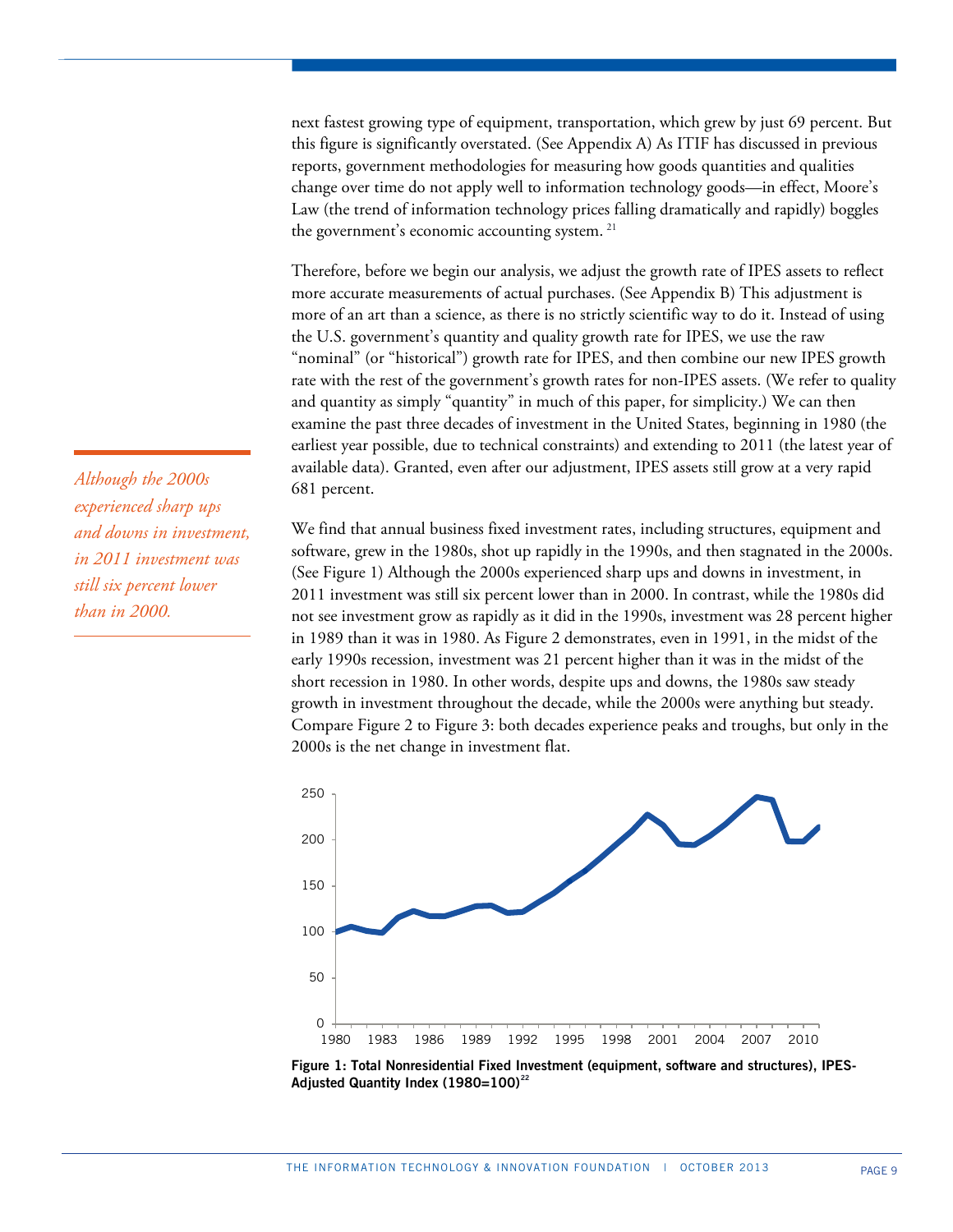next fastest growing type of equipment, transportation, which grew by just 69 percent. But this figure is significantly overstated. (See Appendix A) As ITIF has discussed in previous reports, government methodologies for measuring how goods quantities and qualities change over time do not apply well to information technology goods—in effect, Moore's Law (the trend of information technology prices falling dramatically and rapidly) boggles the government's economic accounting system. [21](#page-38-11)

Therefore, before we begin our analysis, we adjust the growth rate of IPES assets to reflect more accurate measurements of actual purchases. (See Appendix B) This adjustment is more of an art than a science, as there is no strictly scientific way to do it. Instead of using the U.S. government's quantity and quality growth rate for IPES, we use the raw "nominal" (or "historical") growth rate for IPES, and then combine our new IPES growth rate with the rest of the government's growth rates for non-IPES assets. (We refer to quality and quantity as simply "quantity" in much of this paper, for simplicity.) We can then examine the past three decades of investment in the United States, beginning in 1980 (the earliest year possible, due to technical constraints) and extending to 2011 (the latest year of available data). Granted, even after our adjustment, IPES assets still grow at a very rapid 681 percent.

We find that annual business fixed investment rates, including structures, equipment and software, grew in the 1980s, shot up rapidly in the 1990s, and then stagnated in the 2000s. (See Figure 1) Although the 2000s experienced sharp ups and downs in investment, in 2011 investment was still six percent lower than in 2000. In contrast, while the 1980s did not see investment grow as rapidly as it did in the 1990s, investment was 28 percent higher in 1989 than it was in 1980. As Figure 2 demonstrates, even in 1991, in the midst of the early 1990s recession, investment was 21 percent higher than it was in the midst of the short recession in 1980. In other words, despite ups and downs, the 1980s saw steady growth in investment throughout the decade, while the 2000s were anything but steady. Compare Figure 2 to Figure 3: both decades experience peaks and troughs, but only in the 2000s is the net change in investment flat.



**Figure 1: Total Nonresidential Fixed Investment (equipment, software and structures), IPES-Adjusted Quantity Index (1980=100)[22](#page-38-12)**

*Although the 2000s experienced sharp ups and downs in investment, in 2011 investment was still six percent lower than in 2000.*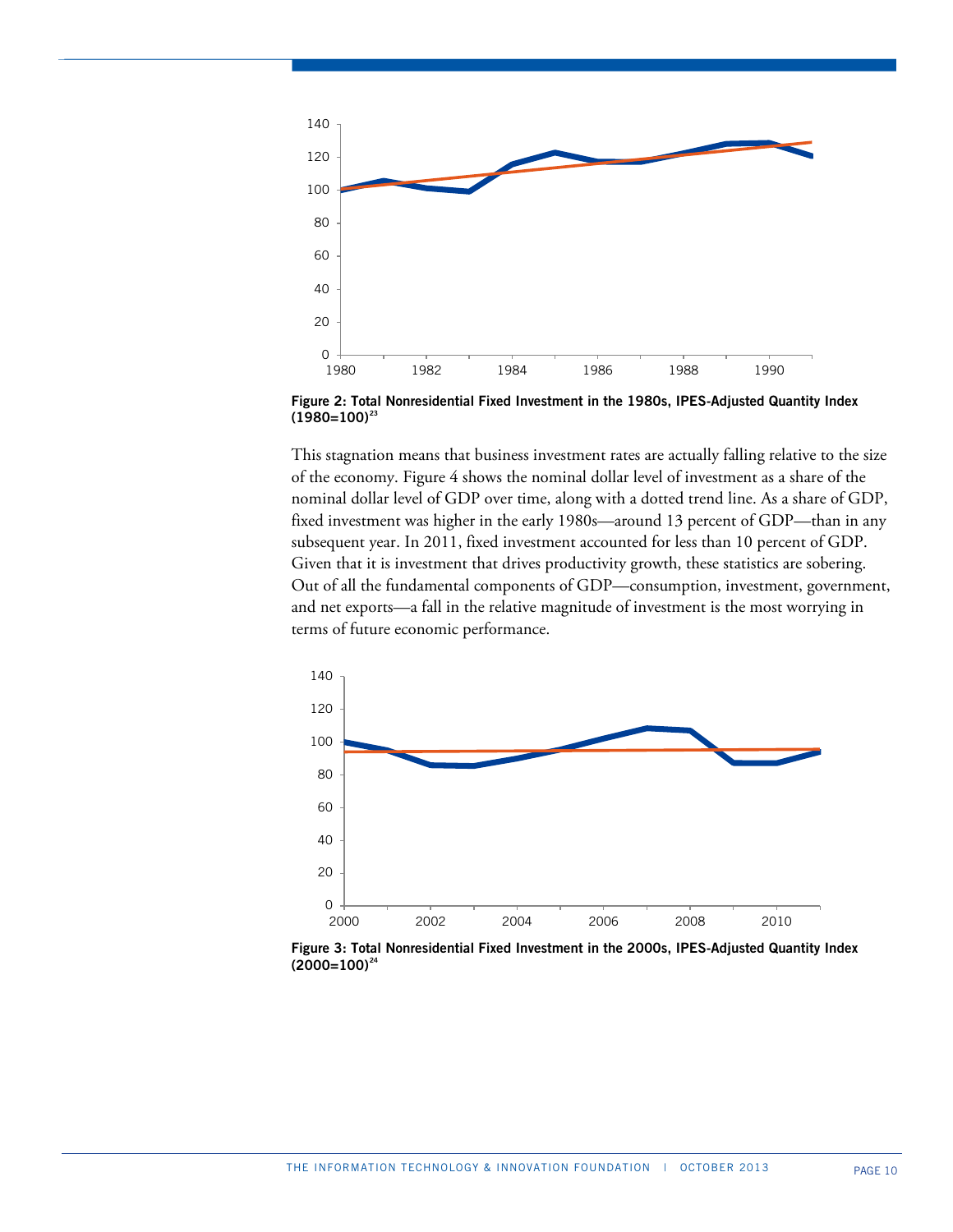

**Figure 2: Total Nonresidential Fixed Investment in the 1980s, IPES-Adjusted Quantity Index (1980=100)[23](#page-38-13)**

This stagnation means that business investment rates are actually falling relative to the size of the economy. Figure 4 shows the nominal dollar level of investment as a share of the nominal dollar level of GDP over time, along with a dotted trend line. As a share of GDP, fixed investment was higher in the early 1980s—around 13 percent of GDP—than in any subsequent year. In 2011, fixed investment accounted for less than 10 percent of GDP. Given that it is investment that drives productivity growth, these statistics are sobering. Out of all the fundamental components of GDP—consumption, investment, government, and net exports—a fall in the relative magnitude of investment is the most worrying in terms of future economic performance.



 **Figure 3: Total Nonresidential Fixed Investment in the 2000s, IPES-Adjusted Quantity Index (2000=100)[24](#page-38-14)**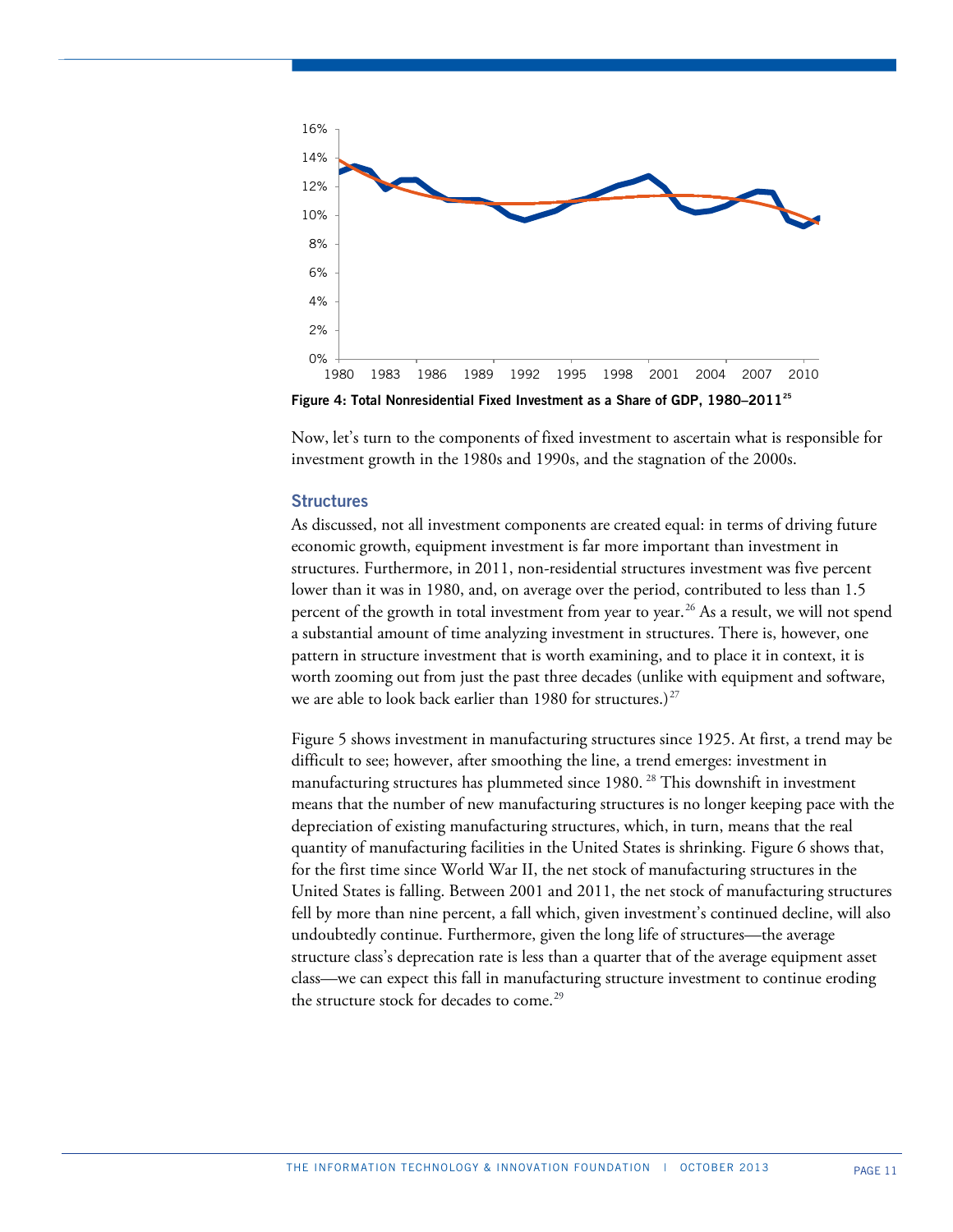

**Figure 4: Total Nonresidential Fixed Investment as a Share of GDP, 1980–2011[25](#page-38-15)**

Now, let's turn to the components of fixed investment to ascertain what is responsible for investment growth in the 1980s and 1990s, and the stagnation of the 2000s.

## **Structures**

As discussed, not all investment components are created equal: in terms of driving future economic growth, equipment investment is far more important than investment in structures. Furthermore, in 2011, non-residential structures investment was five percent lower than it was in 1980, and, on average over the period, contributed to less than 1.5 percent of the growth in total investment from year to year.<sup>[26](#page-38-16)</sup> As a result, we will not spend a substantial amount of time analyzing investment in structures. There is, however, one pattern in structure investment that is worth examining, and to place it in context, it is worth zooming out from just the past three decades (unlike with equipment and software, we are able to look back earlier than 1980 for structures.)<sup>[27](#page-38-17)</sup>

Figure 5 shows investment in manufacturing structures since 1925. At first, a trend may be difficult to see; however, after smoothing the line, a trend emerges: investment in manufacturing structures has plummeted since 1980.<sup>[28](#page-38-18)</sup> This downshift in investment means that the number of new manufacturing structures is no longer keeping pace with the depreciation of existing manufacturing structures, which, in turn, means that the real quantity of manufacturing facilities in the United States is shrinking. Figure 6 shows that, for the first time since World War II, the net stock of manufacturing structures in the United States is falling. Between 2001 and 2011, the net stock of manufacturing structures fell by more than nine percent, a fall which, given investment's continued decline, will also undoubtedly continue. Furthermore, given the long life of structures—the average structure class's deprecation rate is less than a quarter that of the average equipment asset class—we can expect this fall in manufacturing structure investment to continue eroding the structure stock for decades to come.<sup>[29](#page-38-19)</sup>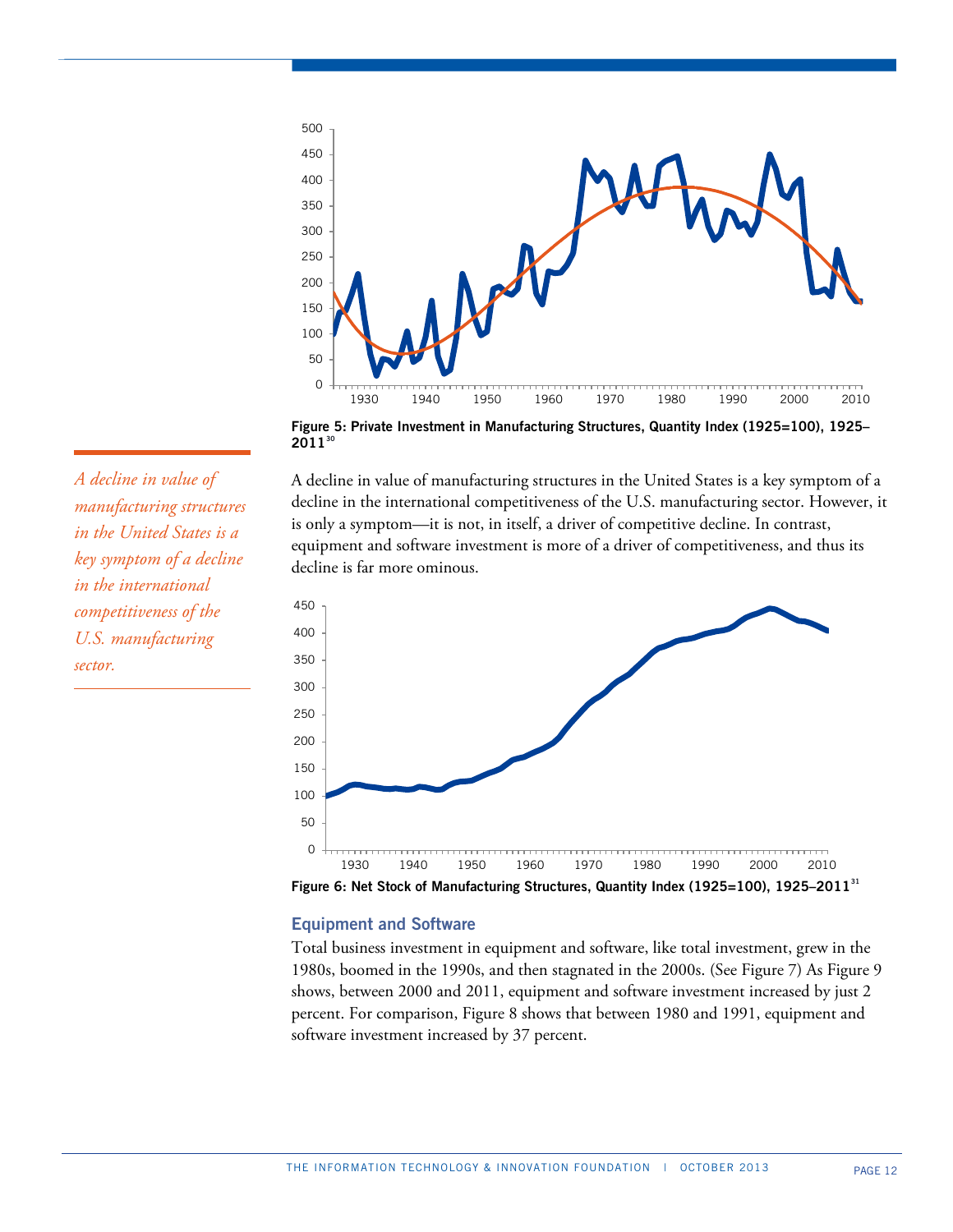

**Figure 5: Private Investment in Manufacturing Structures, Quantity Index (1925=100), 1925– 2011[30](#page-38-20)**

A decline in value of manufacturing structures in the United States is a key symptom of a decline in the international competitiveness of the U.S. manufacturing sector. However, it is only a symptom—it is not, in itself, a driver of competitive decline. In contrast, equipment and software investment is more of a driver of competitiveness, and thus its decline is far more ominous.



**Figure 6: Net Stock of Manufacturing Structures, Quantity Index (1925=100), 1925–2011[31](#page-38-21)**

## **Equipment and Software**

Total business investment in equipment and software, like total investment, grew in the 1980s, boomed in the 1990s, and then stagnated in the 2000s. (See Figure 7) As Figure 9 shows, between 2000 and 2011, equipment and software investment increased by just 2 percent. For comparison, Figure 8 shows that between 1980 and 1991, equipment and software investment increased by 37 percent.

*A decline in value of manufacturing structures in the United States is a key symptom of a decline in the international competitiveness of the U.S. manufacturing sector.*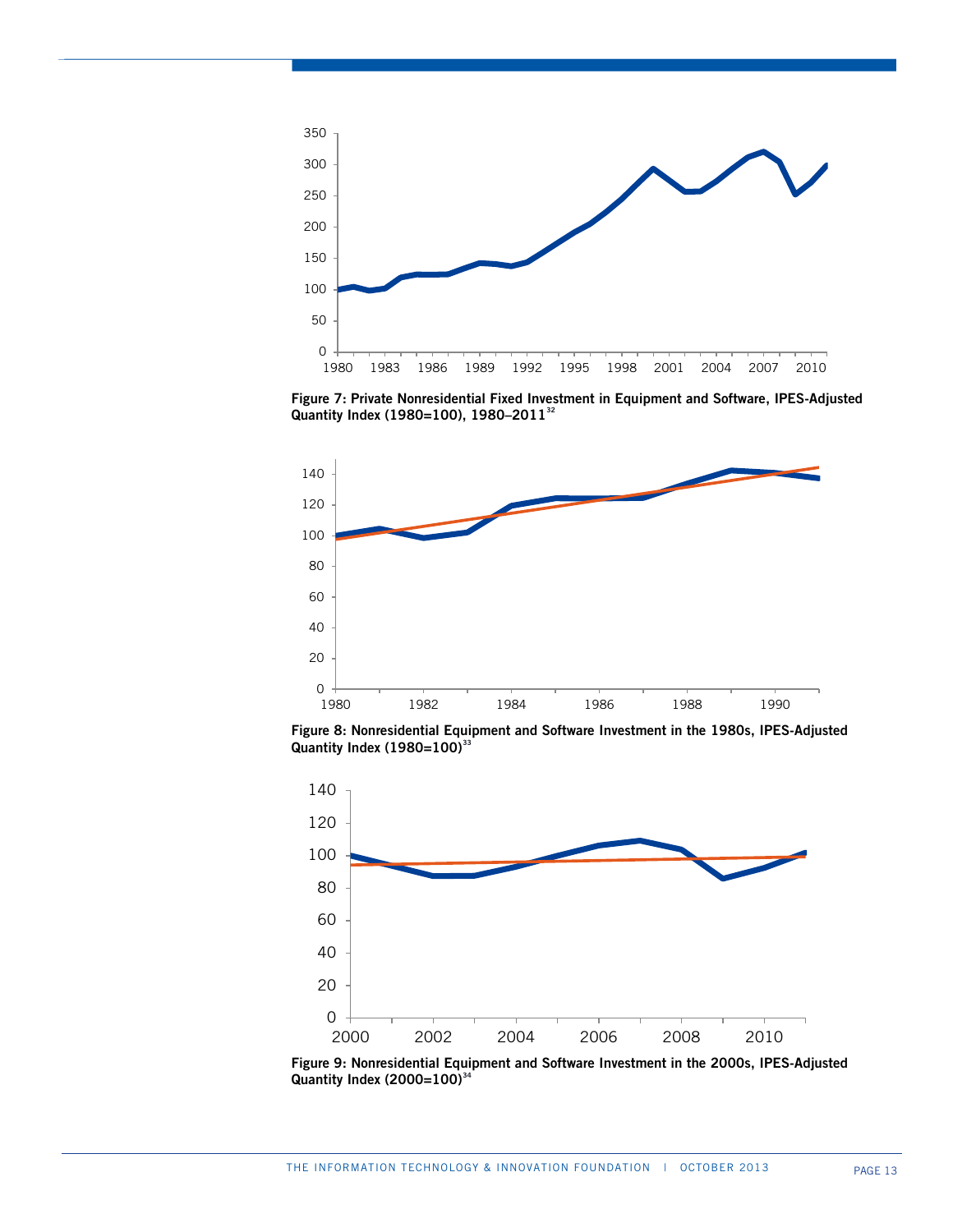

**Figure 7: Private Nonresidential Fixed Investment in Equipment and Software, IPES-Adjusted Quantity Index (1980=100), 1980–2011[32](#page-38-22)**



**Figure 8: Nonresidential Equipment and Software Investment in the 1980s, IPES-Adjusted Quantity Index (1980=100)[33](#page-38-23)**



**Figure 9: Nonresidential Equipment and Software Investment in the 2000s, IPES-Adjusted Quantity Index (2000=100)[34](#page-38-24)**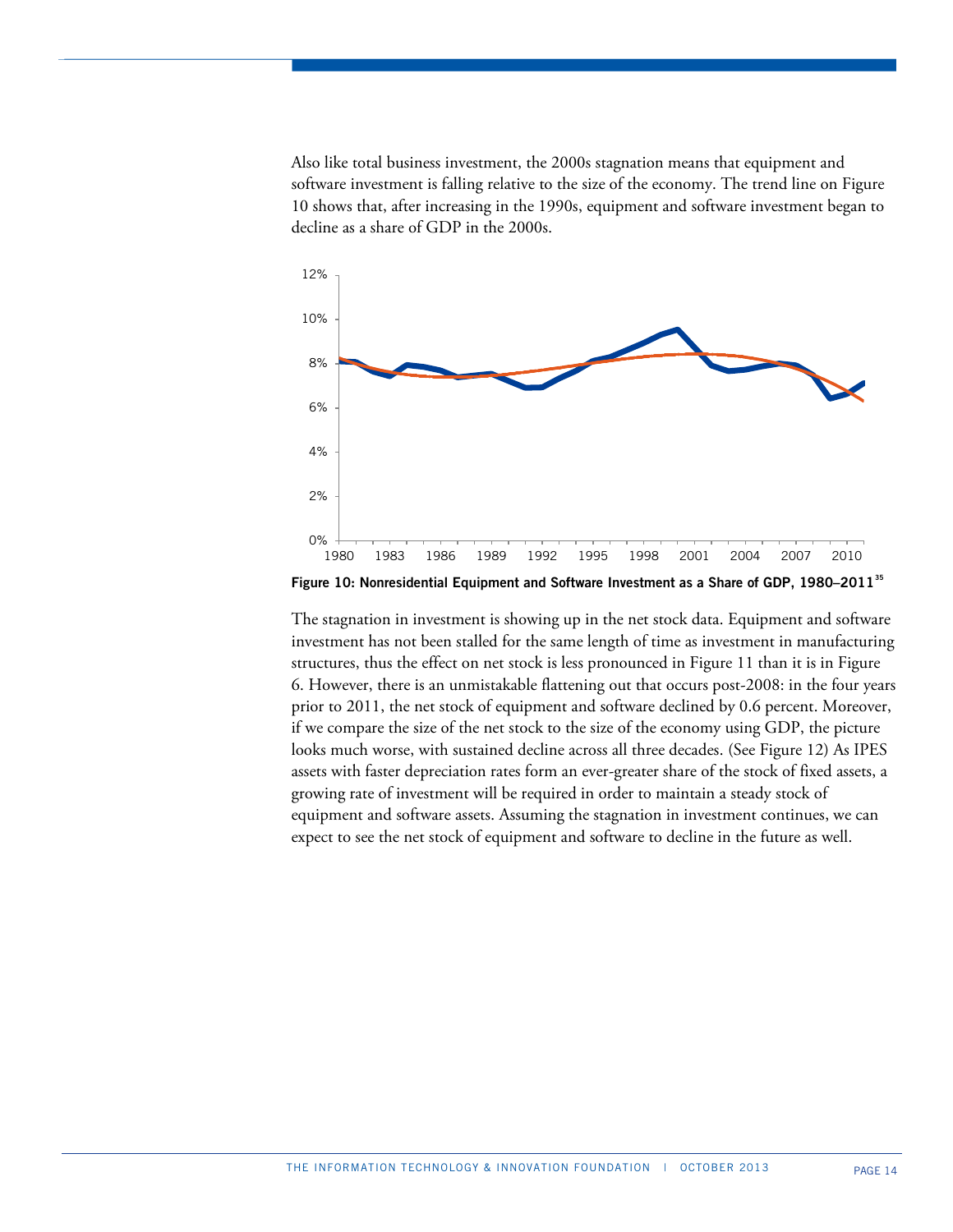Also like total business investment, the 2000s stagnation means that equipment and software investment is falling relative to the size of the economy. The trend line on Figure 10 shows that, after increasing in the 1990s, equipment and software investment began to decline as a share of GDP in the 2000s.



**Figure 10: Nonresidential Equipment and Software Investment as a Share of GDP, 1980–2011[35](#page-38-25)**

The stagnation in investment is showing up in the net stock data. Equipment and software investment has not been stalled for the same length of time as investment in manufacturing structures, thus the effect on net stock is less pronounced in Figure 11 than it is in Figure 6. However, there is an unmistakable flattening out that occurs post-2008: in the four years prior to 2011, the net stock of equipment and software declined by 0.6 percent. Moreover, if we compare the size of the net stock to the size of the economy using GDP, the picture looks much worse, with sustained decline across all three decades. (See Figure 12) As IPES assets with faster depreciation rates form an ever-greater share of the stock of fixed assets, a growing rate of investment will be required in order to maintain a steady stock of equipment and software assets. Assuming the stagnation in investment continues, we can expect to see the net stock of equipment and software to decline in the future as well.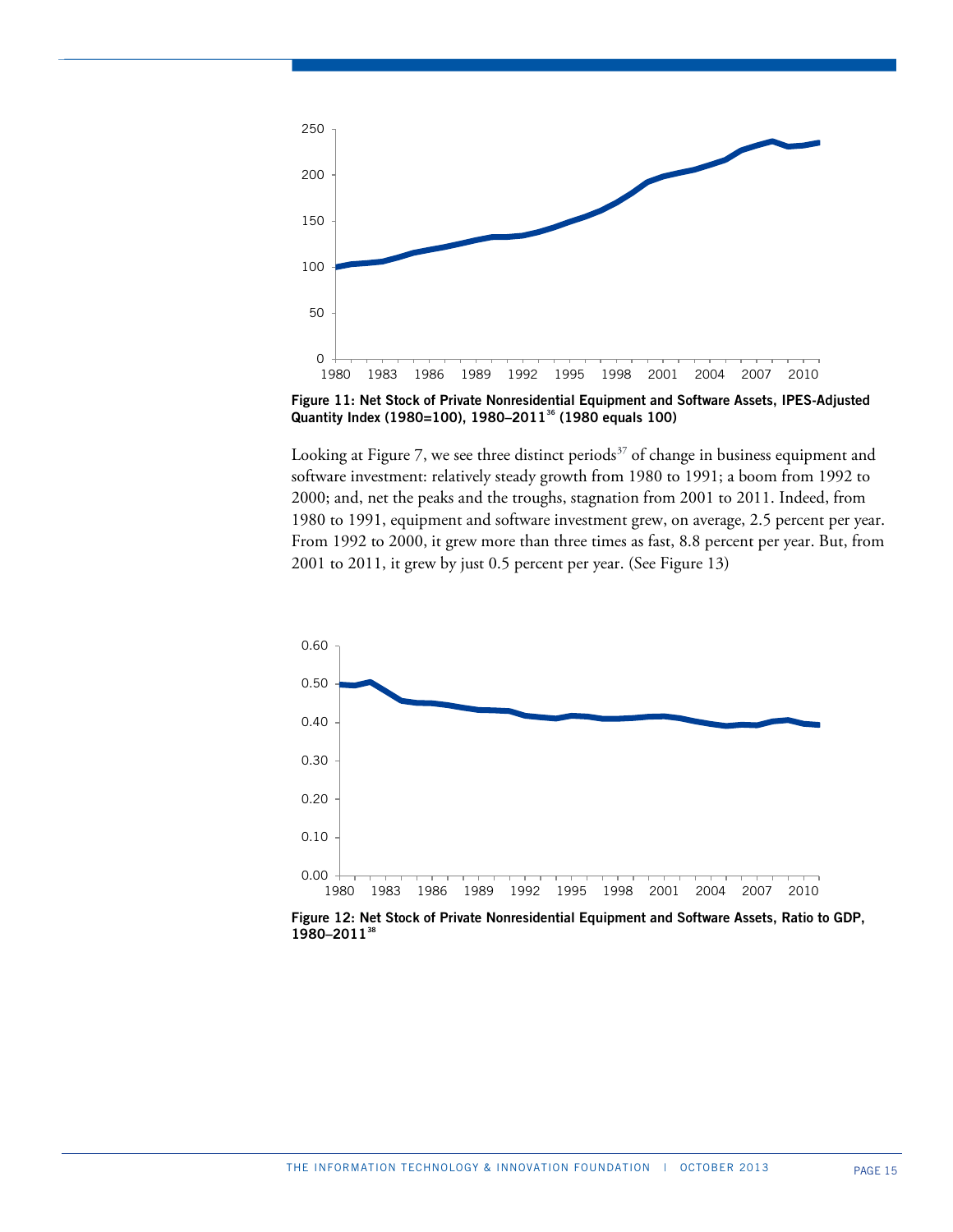

**Figure 11: Net Stock of Private Nonresidential Equipment and Software Assets, IPES-Adjusted Quantity Index (1980=100), 1980–2011[36](#page-38-26) (1980 equals 100)**

Looking at Figure 7, we see three distinct periods<sup>[37](#page-38-27)</sup> of change in business equipment and software investment: relatively steady growth from 1980 to 1991; a boom from 1992 to 2000; and, net the peaks and the troughs, stagnation from 2001 to 2011. Indeed, from 1980 to 1991, equipment and software investment grew, on average, 2.5 percent per year. From 1992 to 2000, it grew more than three times as fast, 8.8 percent per year. But, from 2001 to 2011, it grew by just 0.5 percent per year. (See Figure 13)



**Figure 12: Net Stock of Private Nonresidential Equipment and Software Assets, Ratio to GDP, 1980–2011[38](#page-38-28)**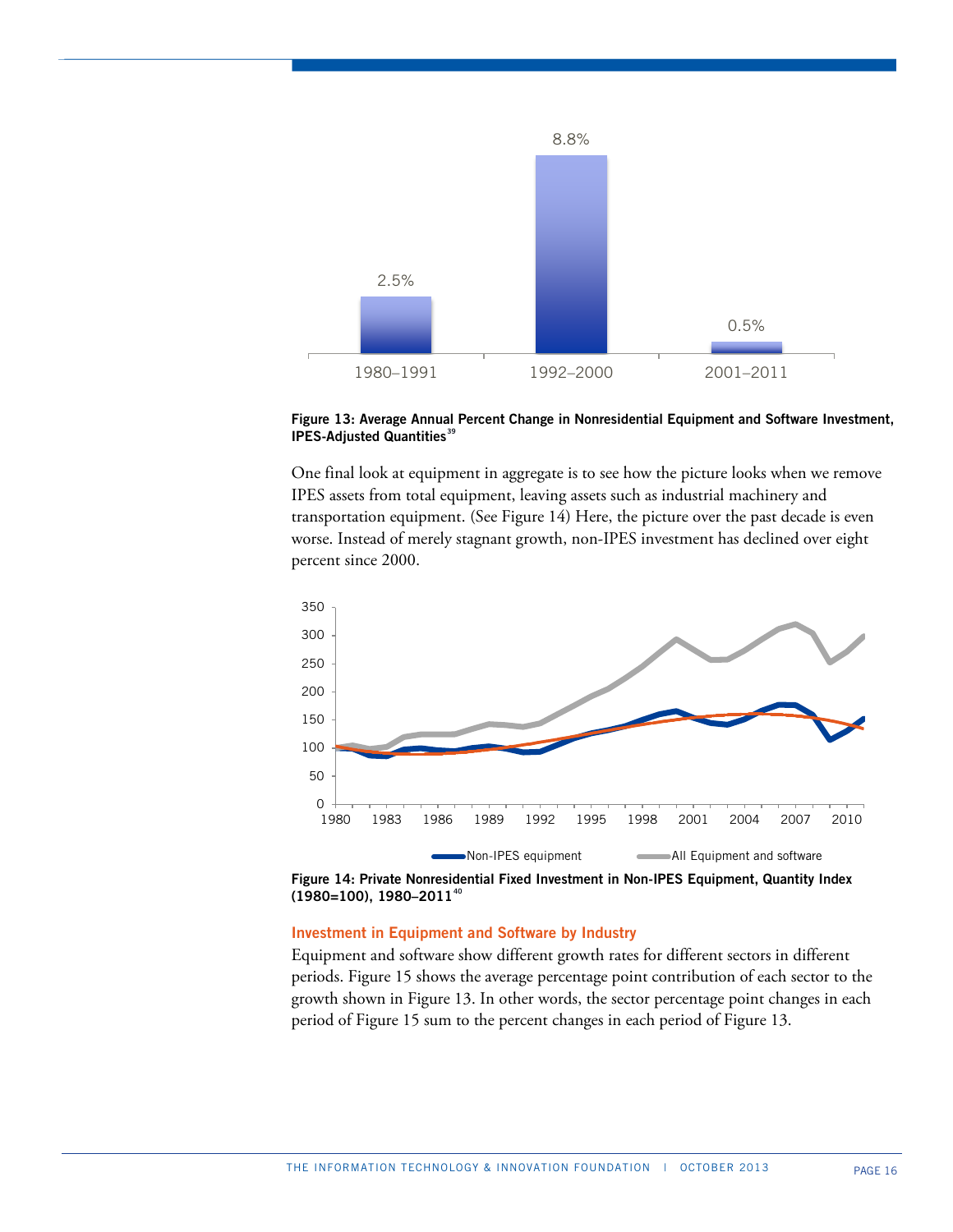

## **Figure 13: Average Annual Percent Change in Nonresidential Equipment and Software Investment, IPES-Adjusted Quantities[39](#page-38-29)**

One final look at equipment in aggregate is to see how the picture looks when we remove IPES assets from total equipment, leaving assets such as industrial machinery and transportation equipment. (See Figure 14) Here, the picture over the past decade is even worse. Instead of merely stagnant growth, non-IPES investment has declined over eight percent since 2000.





## **Investment in Equipment and Software by Industry**

Equipment and software show different growth rates for different sectors in different periods. Figure 15 shows the average percentage point contribution of each sector to the growth shown in Figure 13. In other words, the sector percentage point changes in each period of Figure 15 sum to the percent changes in each period of Figure 13.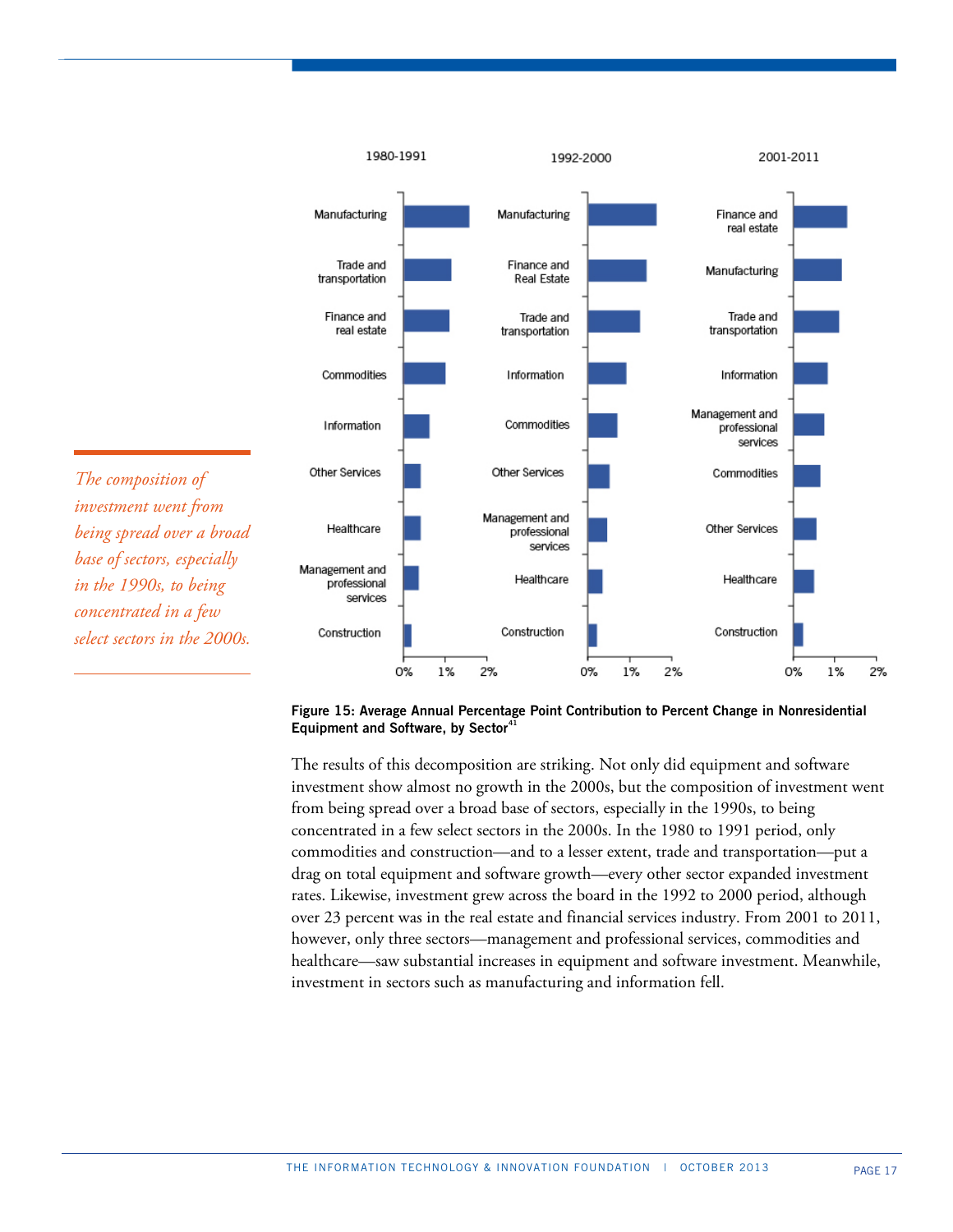

*The composition of investment went from being spread over a broad base of sectors, especially in the 1990s, to being concentrated in a few select sectors in the 2000s.*

**Figure 15: Average Annual Percentage Point Contribution to Percent Change in Nonresidential Equipment and Software, by Sector[41](#page-38-31)**

The results of this decomposition are striking. Not only did equipment and software investment show almost no growth in the 2000s, but the composition of investment went from being spread over a broad base of sectors, especially in the 1990s, to being concentrated in a few select sectors in the 2000s. In the 1980 to 1991 period, only commodities and construction—and to a lesser extent, trade and transportation—put a drag on total equipment and software growth—every other sector expanded investment rates. Likewise, investment grew across the board in the 1992 to 2000 period, although over 23 percent was in the real estate and financial services industry. From 2001 to 2011, however, only three sectors—management and professional services, commodities and healthcare—saw substantial increases in equipment and software investment. Meanwhile, investment in sectors such as manufacturing and information fell.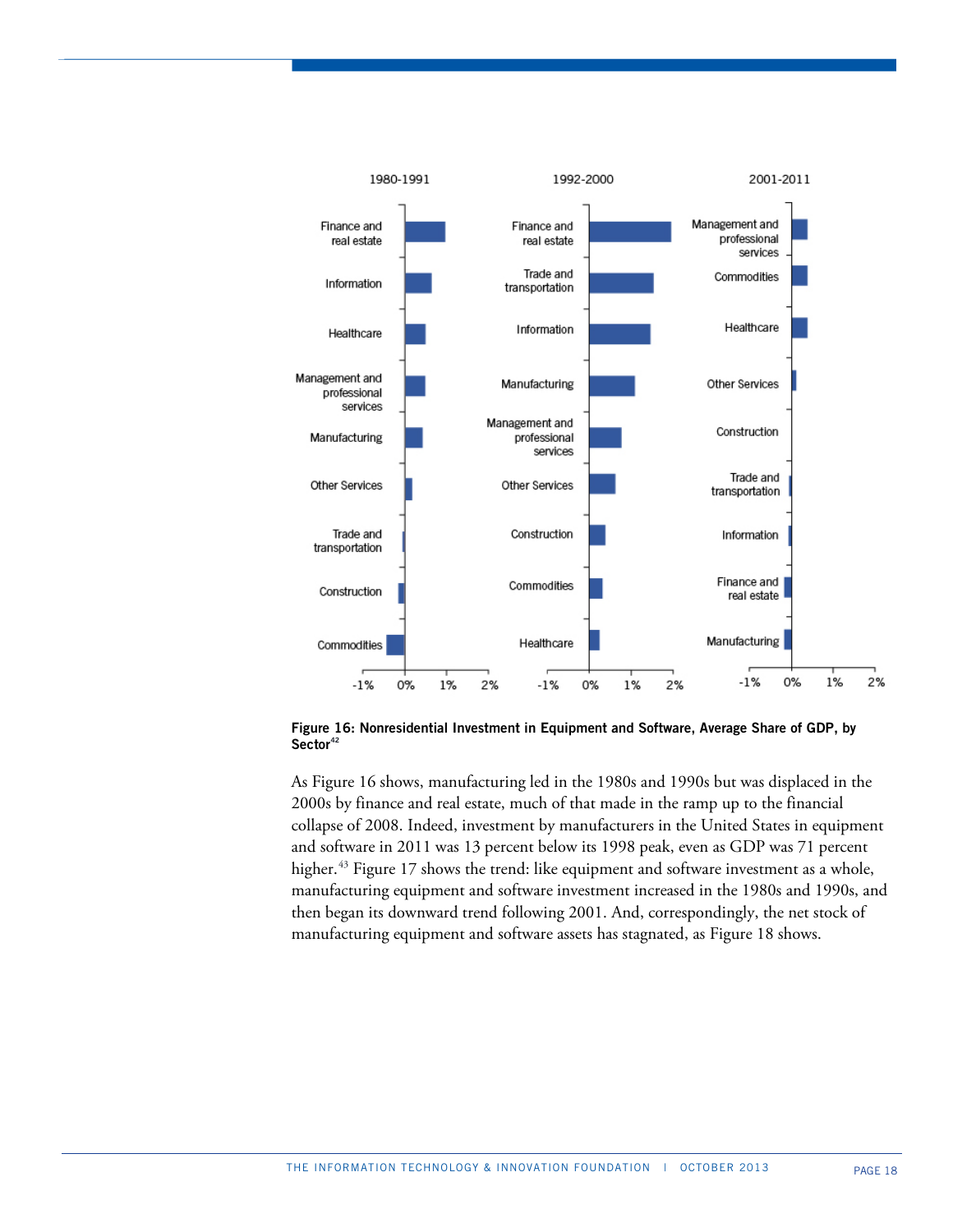

**Figure 16: Nonresidential Investment in Equipment and Software, Average Share of GDP, by Sector[42](#page-38-32)**

As Figure 16 shows, manufacturing led in the 1980s and 1990s but was displaced in the 2000s by finance and real estate, much of that made in the ramp up to the financial collapse of 2008. Indeed, investment by manufacturers in the United States in equipment and software in 2011 was 13 percent below its 1998 peak, even as GDP was 71 percent higher.<sup>[43](#page-38-33)</sup> Figure 17 shows the trend: like equipment and software investment as a whole, manufacturing equipment and software investment increased in the 1980s and 1990s, and then began its downward trend following 2001. And, correspondingly, the net stock of manufacturing equipment and software assets has stagnated, as Figure 18 shows.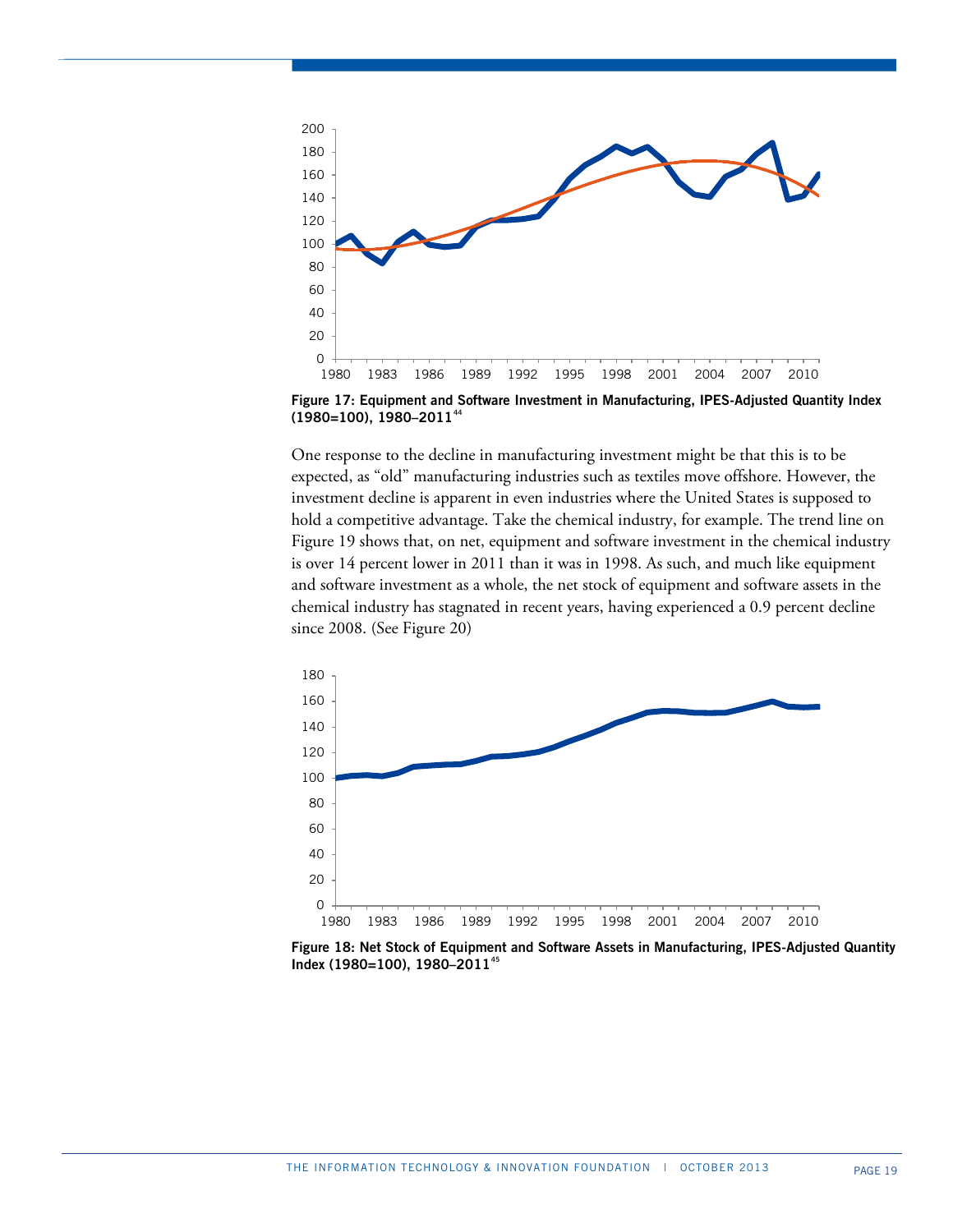

**Figure 17: Equipment and Software Investment in Manufacturing, IPES-Adjusted Quantity Index (1980=100), 1980–2011[44](#page-38-34)**

One response to the decline in manufacturing investment might be that this is to be expected, as "old" manufacturing industries such as textiles move offshore. However, the investment decline is apparent in even industries where the United States is supposed to hold a competitive advantage. Take the chemical industry, for example. The trend line on Figure 19 shows that, on net, equipment and software investment in the chemical industry is over 14 percent lower in 2011 than it was in 1998. As such, and much like equipment and software investment as a whole, the net stock of equipment and software assets in the chemical industry has stagnated in recent years, having experienced a 0.9 percent decline since 2008. (See Figure 20)



**Figure 18: Net Stock of Equipment and Software Assets in Manufacturing, IPES-Adjusted Quantity Index (1980=100), 1980–2011[45](#page-38-35)**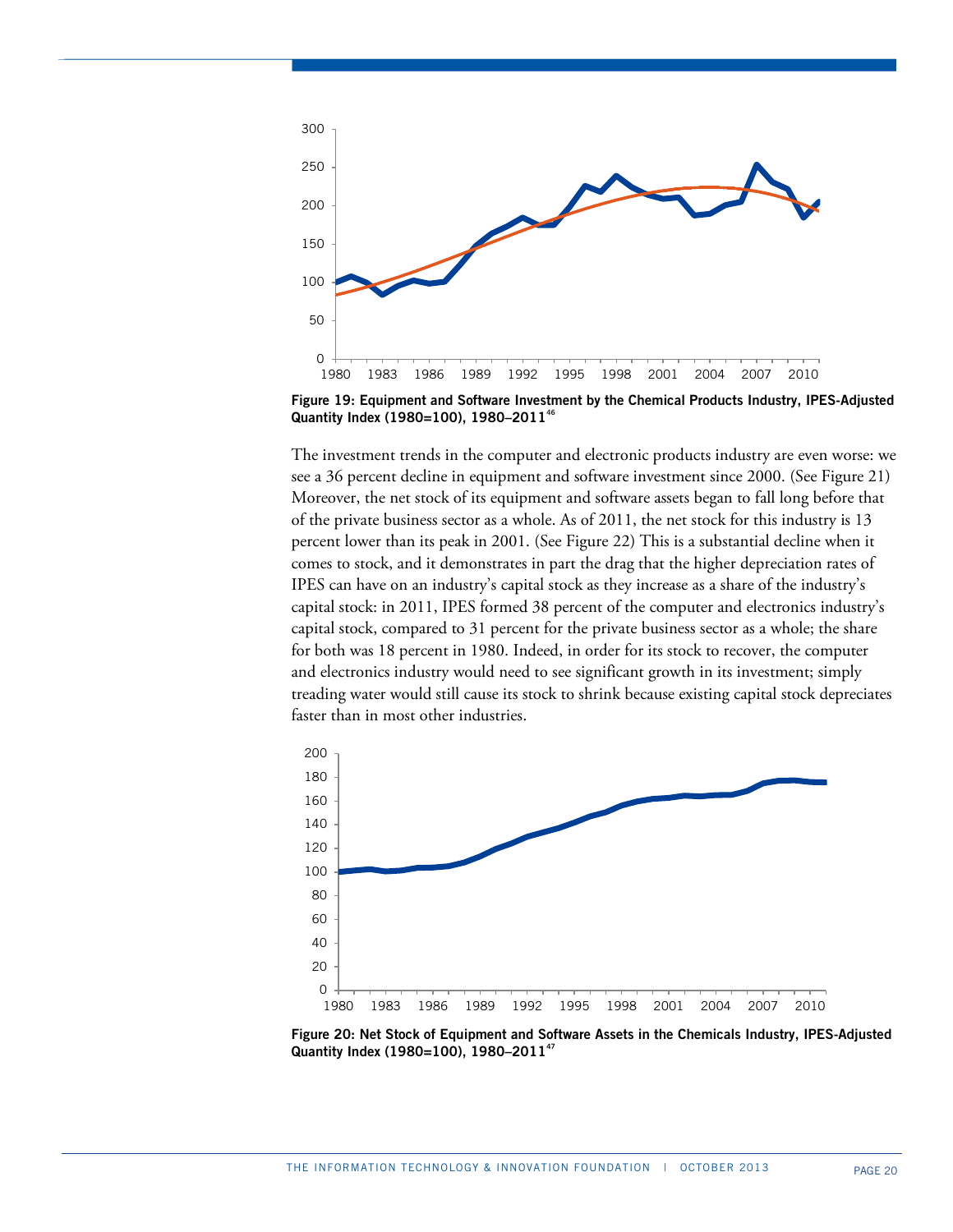

 **Figure 19: Equipment and Software Investment by the Chemical Products Industry, IPES-Adjusted Quantity Index (1980=100), 1980–2011[46](#page-38-36)**

The investment trends in the computer and electronic products industry are even worse: we see a 36 percent decline in equipment and software investment since 2000. (See Figure 21) Moreover, the net stock of its equipment and software assets began to fall long before that of the private business sector as a whole. As of 2011, the net stock for this industry is 13 percent lower than its peak in 2001. (See Figure 22) This is a substantial decline when it comes to stock, and it demonstrates in part the drag that the higher depreciation rates of IPES can have on an industry's capital stock as they increase as a share of the industry's capital stock: in 2011, IPES formed 38 percent of the computer and electronics industry's capital stock, compared to 31 percent for the private business sector as a whole; the share for both was 18 percent in 1980. Indeed, in order for its stock to recover, the computer and electronics industry would need to see significant growth in its investment; simply treading water would still cause its stock to shrink because existing capital stock depreciates faster than in most other industries.



 **Figure 20: Net Stock of Equipment and Software Assets in the Chemicals Industry, IPES-Adjusted Quantity Index (1980=100), 1980–2011[47](#page-38-37)**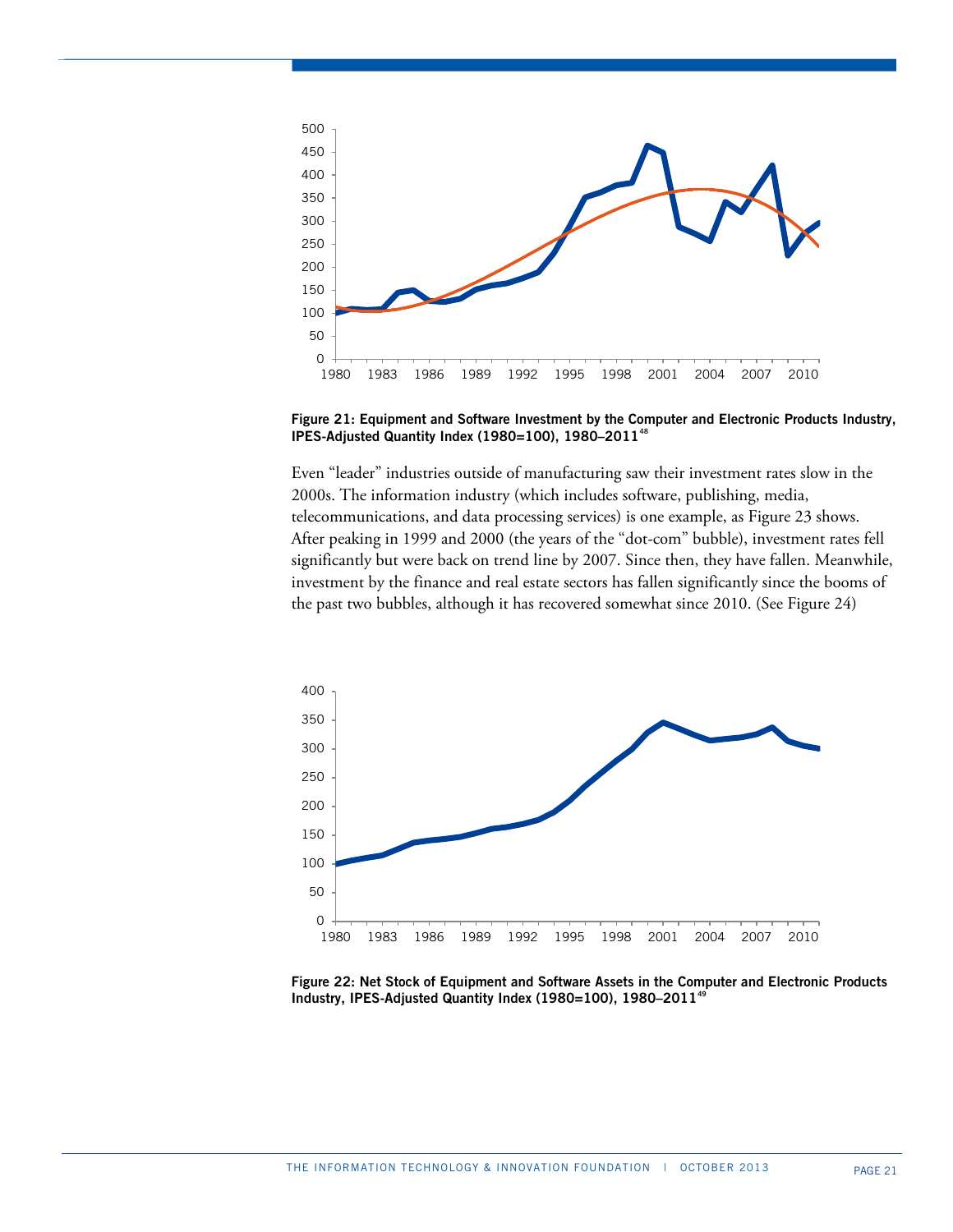

**Figure 21: Equipment and Software Investment by the Computer and Electronic Products Industry, IPES-Adjusted Quantity Index (1980=100), 1980–2011[48](#page-38-14)**

Even "leader" industries outside of manufacturing saw their investment rates slow in the 2000s. The information industry (which includes software, publishing, media, telecommunications, and data processing services) is one example, as Figure 23 shows. After peaking in 1999 and 2000 (the years of the "dot-com" bubble), investment rates fell significantly but were back on trend line by 2007. Since then, they have fallen. Meanwhile, investment by the finance and real estate sectors has fallen significantly since the booms of the past two bubbles, although it has recovered somewhat since 2010. (See Figure 24)



**Figure 22: Net Stock of Equipment and Software Assets in the Computer and Electronic Products Industry, IPES-Adjusted Quantity Index (1980=100), 1980–2011[49](#page-38-15)**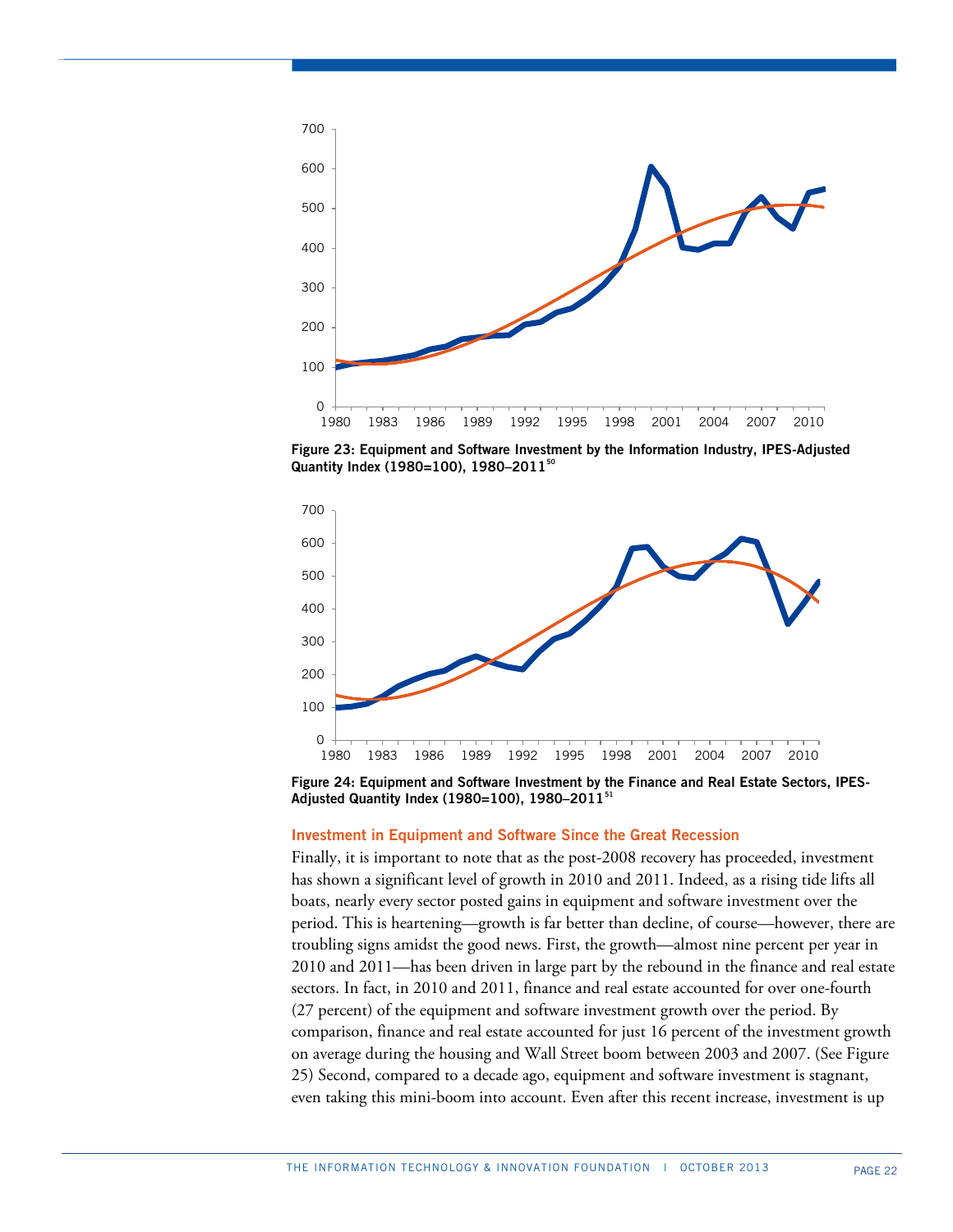

 **Figure 23: Equipment and Software Investment by the Information Industry, IPES-Adjusted Quantity Index (1980=100), 1980–2011[50](#page-38-38)**



 **Figure 24: Equipment and Software Investment by the Finance and Real Estate Sectors, IPES-Adjusted Quantity Index (1980=100), 1980–2011[51](#page-38-39)**

#### **Investment in Equipment and Software Since the Great Recession**

Finally, it is important to note that as the post-2008 recovery has proceeded, investment has shown a significant level of growth in 2010 and 2011. Indeed, as a rising tide lifts all boats, nearly every sector posted gains in equipment and software investment over the period. This is heartening—growth is far better than decline, of course—however, there are troubling signs amidst the good news. First, the growth—almost nine percent per year in 2010 and 2011—has been driven in large part by the rebound in the finance and real estate sectors. In fact, in 2010 and 2011, finance and real estate accounted for over one-fourth (27 percent) of the equipment and software investment growth over the period. By comparison, finance and real estate accounted for just 16 percent of the investment growth on average during the housing and Wall Street boom between 2003 and 2007. (See Figure 25) Second, compared to a decade ago, equipment and software investment is stagnant, even taking this mini-boom into account. Even after this recent increase, investment is up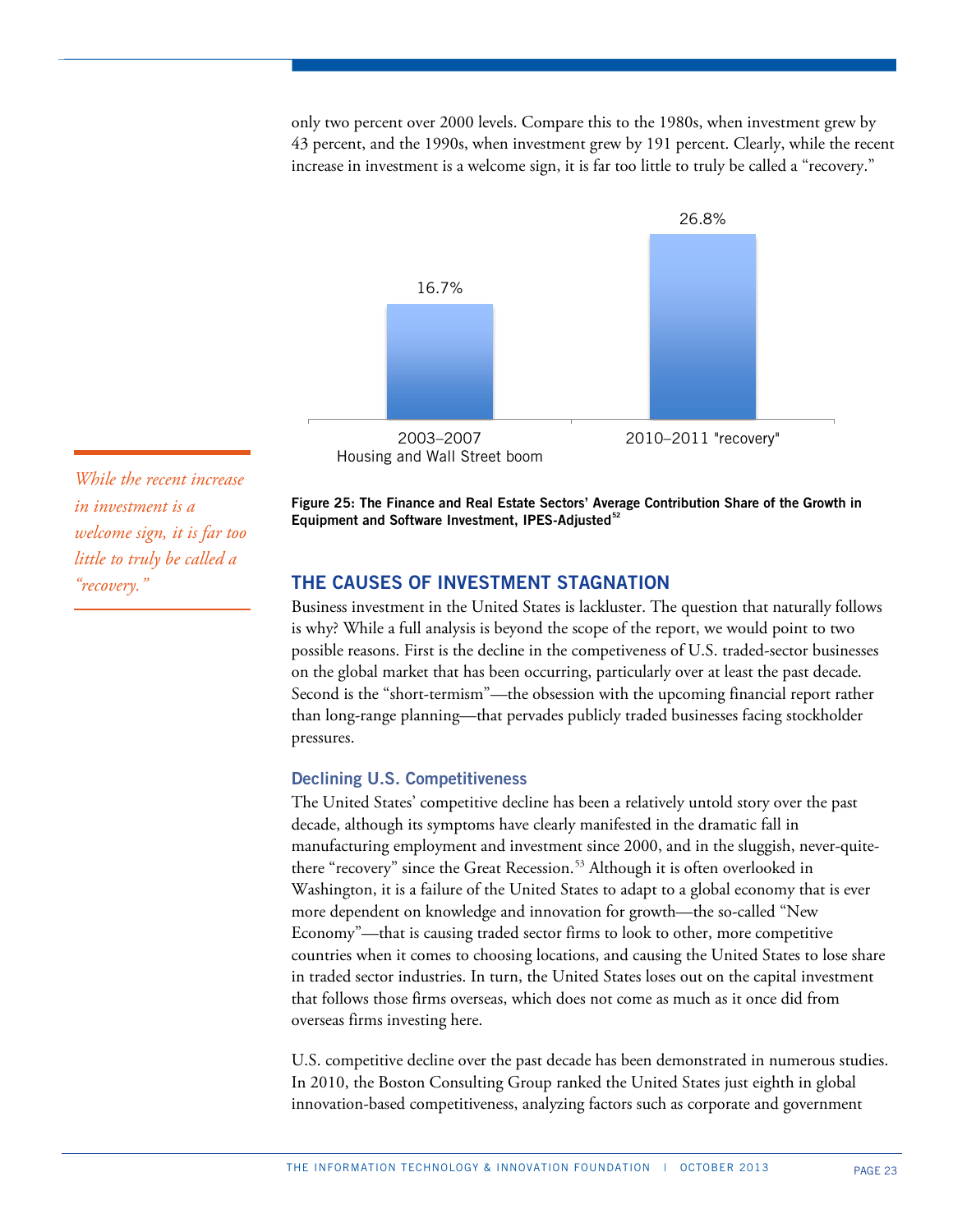only two percent over 2000 levels. Compare this to the 1980s, when investment grew by 43 percent, and the 1990s, when investment grew by 191 percent. Clearly, while the recent increase in investment is a welcome sign, it is far too little to truly be called a "recovery."



*While the recent increase in investment is a welcome sign, it is far too little to truly be called a "recovery."*

**Figure 25: The Finance and Real Estate Sectors' Average Contribution Share of the Growth in Equipment and Software Investment, IPES-Adjusted[52](#page-38-40)**

# **THE CAUSES OF INVESTMENT STAGNATION**

Business investment in the United States is lackluster. The question that naturally follows is why? While a full analysis is beyond the scope of the report, we would point to two possible reasons. First is the decline in the competiveness of U.S. traded-sector businesses on the global market that has been occurring, particularly over at least the past decade. Second is the "short-termism"—the obsession with the upcoming financial report rather than long-range planning—that pervades publicly traded businesses facing stockholder pressures.

# **Declining U.S. Competitiveness**

The United States' competitive decline has been a relatively untold story over the past decade, although its symptoms have clearly manifested in the dramatic fall in manufacturing employment and investment since 2000, and in the sluggish, never-quite-there "recovery" since the Great Recession.<sup>[53](#page-38-16)</sup> Although it is often overlooked in Washington, it is a failure of the United States to adapt to a global economy that is ever more dependent on knowledge and innovation for growth—the so-called "New Economy"—that is causing traded sector firms to look to other, more competitive countries when it comes to choosing locations, and causing the United States to lose share in traded sector industries. In turn, the United States loses out on the capital investment that follows those firms overseas, which does not come as much as it once did from overseas firms investing here.

U.S. competitive decline over the past decade has been demonstrated in numerous studies. In 2010, the Boston Consulting Group ranked the United States just eighth in global innovation-based competitiveness, analyzing factors such as corporate and government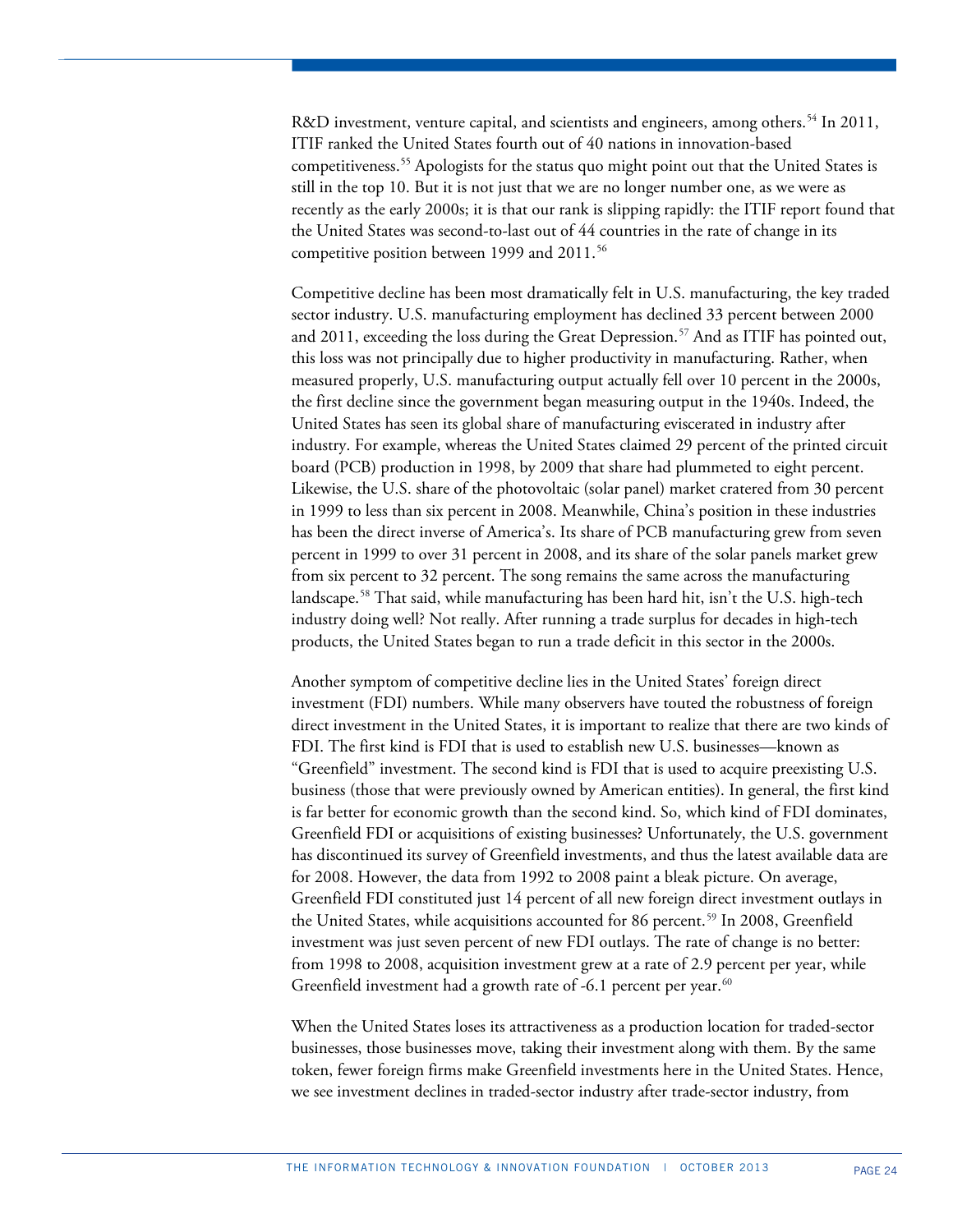R&D investment, venture capital, and scientists and engineers, among others.<sup>[54](#page-38-17)</sup> In 2011, ITIF ranked the United States fourth out of 40 nations in innovation-based competitiveness.[55](#page-38-20) Apologists for the status quo might point out that the United States is still in the top 10. But it is not just that we are no longer number one, as we were as recently as the early 2000s; it is that our rank is slipping rapidly: the ITIF report found that the United States was second-to-last out of 44 countries in the rate of change in its competitive position between 1999 and 2011.<sup>[56](#page-38-21)</sup>

Competitive decline has been most dramatically felt in U.S. manufacturing, the key traded sector industry. U.S. manufacturing employment has declined 33 percent between 2000 and 2011, exceeding the loss during the Great Depression.<sup>[57](#page-38-41)</sup> And as ITIF has pointed out, this loss was not principally due to higher productivity in manufacturing. Rather, when measured properly, U.S. manufacturing output actually fell over 10 percent in the 2000s, the first decline since the government began measuring output in the 1940s. Indeed, the United States has seen its global share of manufacturing eviscerated in industry after industry. For example, whereas the United States claimed 29 percent of the printed circuit board (PCB) production in 1998, by 2009 that share had plummeted to eight percent. Likewise, the U.S. share of the photovoltaic (solar panel) market cratered from 30 percent in 1999 to less than six percent in 2008. Meanwhile, China's position in these industries has been the direct inverse of America's. Its share of PCB manufacturing grew from seven percent in 1999 to over 31 percent in 2008, and its share of the solar panels market grew from six percent to 32 percent. The song remains the same across the manufacturing landscape.[58](#page-38-24) That said, while manufacturing has been hard hit, isn't the U.S. high-tech industry doing well? Not really. After running a trade surplus for decades in high-tech products, the United States began to run a trade deficit in this sector in the 2000s.

Another symptom of competitive decline lies in the United States' foreign direct investment (FDI) numbers. While many observers have touted the robustness of foreign direct investment in the United States, it is important to realize that there are two kinds of FDI. The first kind is FDI that is used to establish new U.S. businesses—known as "Greenfield" investment. The second kind is FDI that is used to acquire preexisting U.S. business (those that were previously owned by American entities). In general, the first kind is far better for economic growth than the second kind. So, which kind of FDI dominates, Greenfield FDI or acquisitions of existing businesses? Unfortunately, the U.S. government has discontinued its survey of Greenfield investments, and thus the latest available data are for 2008. However, the data from 1992 to 2008 paint a bleak picture. On average, Greenfield FDI constituted just 14 percent of all new foreign direct investment outlays in the United States, while acquisitions accounted for 86 percent.<sup>[59](#page-38-42)</sup> In 2008, Greenfield investment was just seven percent of new FDI outlays. The rate of change is no better: from 1998 to 2008, acquisition investment grew at a rate of 2.9 percent per year, while Greenfield investment had a growth rate of -6.1 percent per year. $60$ 

When the United States loses its attractiveness as a production location for traded-sector businesses, those businesses move, taking their investment along with them. By the same token, fewer foreign firms make Greenfield investments here in the United States. Hence, we see investment declines in traded-sector industry after trade-sector industry, from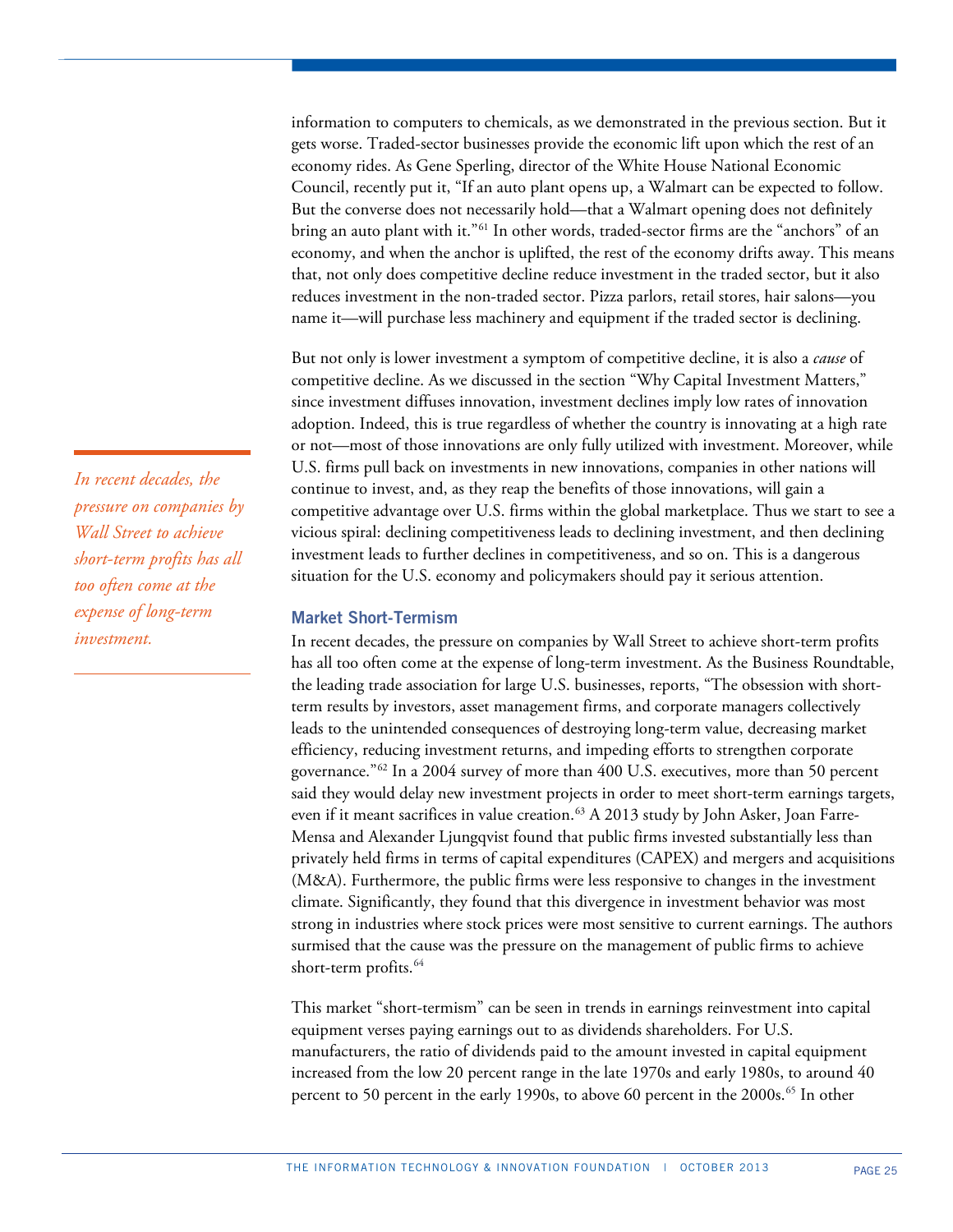information to computers to chemicals, as we demonstrated in the previous section. But it gets worse. Traded-sector businesses provide the economic lift upon which the rest of an economy rides. As Gene Sperling, director of the White House National Economic Council, recently put it, "If an auto plant opens up, a Walmart can be expected to follow. But the converse does not necessarily hold—that a Walmart opening does not definitely bring an auto plant with it."<sup>[61](#page-38-29)</sup> In other words, traded-sector firms are the "anchors" of an economy, and when the anchor is uplifted, the rest of the economy drifts away. This means that, not only does competitive decline reduce investment in the traded sector, but it also reduces investment in the non-traded sector. Pizza parlors, retail stores, hair salons—you name it—will purchase less machinery and equipment if the traded sector is declining.

But not only is lower investment a symptom of competitive decline, it is also a *cause* of competitive decline. As we discussed in the section "Why Capital Investment Matters," since investment diffuses innovation, investment declines imply low rates of innovation adoption. Indeed, this is true regardless of whether the country is innovating at a high rate or not—most of those innovations are only fully utilized with investment. Moreover, while U.S. firms pull back on investments in new innovations, companies in other nations will continue to invest, and, as they reap the benefits of those innovations, will gain a competitive advantage over U.S. firms within the global marketplace. Thus we start to see a vicious spiral: declining competitiveness leads to declining investment, and then declining investment leads to further declines in competitiveness, and so on. This is a dangerous situation for the U.S. economy and policymakers should pay it serious attention.

## **Market Short-Termism**

In recent decades, the pressure on companies by Wall Street to achieve short-term profits has all too often come at the expense of long-term investment. As the Business Roundtable, the leading trade association for large U.S. businesses, reports, "The obsession with shortterm results by investors, asset management firms, and corporate managers collectively leads to the unintended consequences of destroying long-term value, decreasing market efficiency, reducing investment returns, and impeding efforts to strengthen corporate governance."[62](#page-38-32) In a 2004 survey of more than 400 U.S. executives, more than 50 percent said they would delay new investment projects in order to meet short-term earnings targets, even if it meant sacrifices in value creation.<sup>[63](#page-38-44)</sup> A 2013 study by John Asker, Joan Farre-Mensa and Alexander Ljungqvist found that public firms invested substantially less than privately held firms in terms of capital expenditures (CAPEX) and mergers and acquisitions (M&A). Furthermore, the public firms were less responsive to changes in the investment climate. Significantly, they found that this divergence in investment behavior was most strong in industries where stock prices were most sensitive to current earnings. The authors surmised that the cause was the pressure on the management of public firms to achieve short-term profits.<sup>[64](#page-38-45)</sup>

This market "short-termism" can be seen in trends in earnings reinvestment into capital equipment verses paying earnings out to as dividends shareholders. For U.S. manufacturers, the ratio of dividends paid to the amount invested in capital equipment increased from the low 20 percent range in the late 1970s and early 1980s, to around 40 percent to 50 percent in the early 1990s, to above 60 percent in the 2000s.<sup>[65](#page-38-46)</sup> In other

*In recent decades, the pressure on companies by Wall Street to achieve short-term profits has all too often come at the expense of long-term investment.*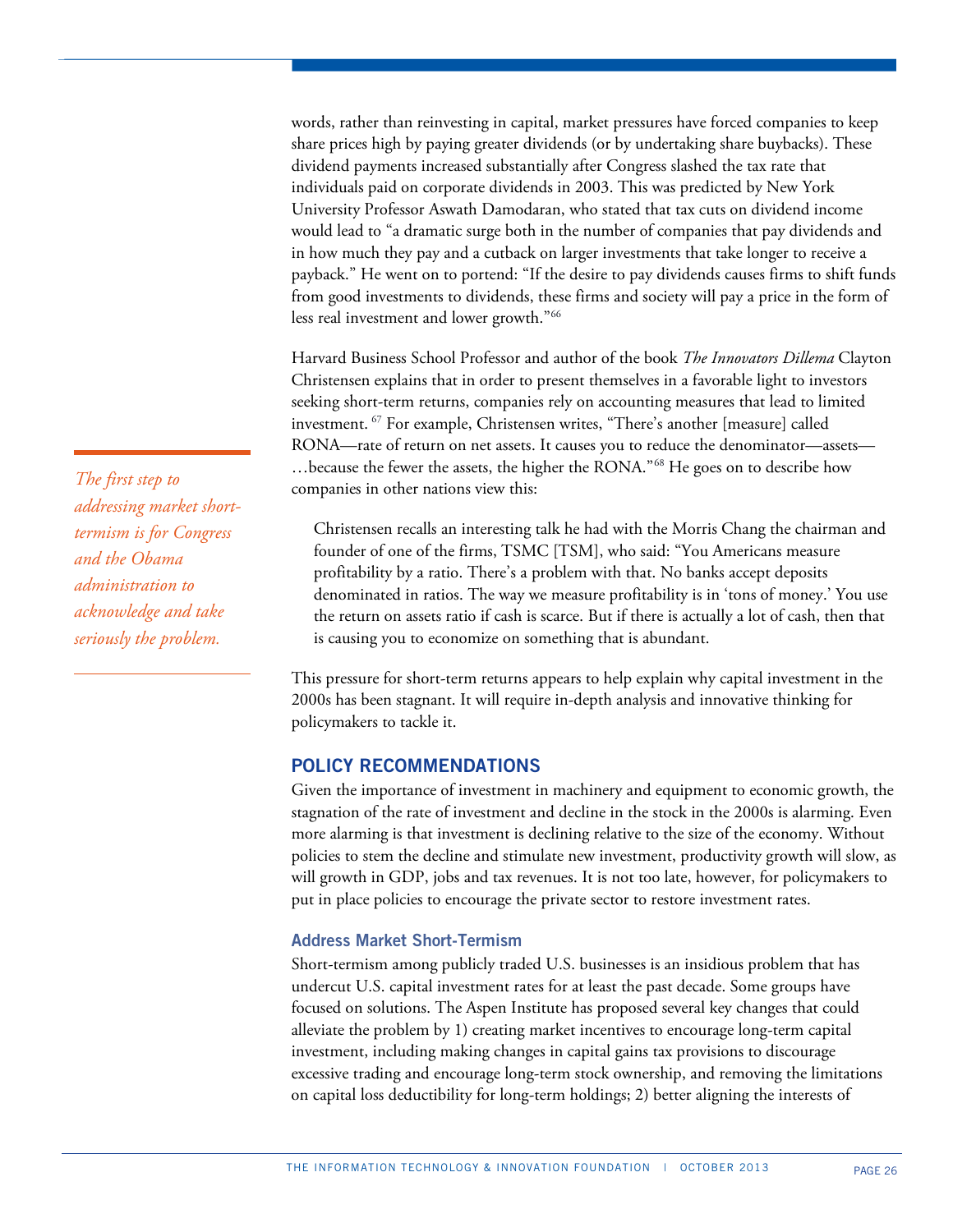words, rather than reinvesting in capital, market pressures have forced companies to keep share prices high by paying greater dividends (or by undertaking share buybacks). These dividend payments increased substantially after Congress slashed the tax rate that individuals paid on corporate dividends in 2003. This was predicted by New York University Professor Aswath Damodaran, who stated that tax cuts on dividend income would lead to "a dramatic surge both in the number of companies that pay dividends and in how much they pay and a cutback on larger investments that take longer to receive a payback." He went on to portend: "If the desire to pay dividends causes firms to shift funds from good investments to dividends, these firms and society will pay a price in the form of less real investment and lower growth."[66](#page-38-14)

Harvard Business School Professor and author of the book *The Innovators Dillema* Clayton Christensen explains that in order to present themselves in a favorable light to investors seeking short-term returns, companies rely on accounting measures that lead to limited investment. [67](#page-38-39) For example, Christensen writes, "There's another [measure] called RONA—rate of return on net assets. It causes you to reduce the denominator—assets— …because the fewer the assets, the higher the RONA."[68](#page-38-16) He goes on to describe how companies in other nations view this:

Christensen recalls an interesting talk he had with the Morris Chang the chairman and founder of one of the firms, TSMC [TSM], who said: "You Americans measure profitability by a ratio. There's a problem with that. No banks accept deposits denominated in ratios. The way we measure profitability is in 'tons of money.' You use the return on assets ratio if cash is scarce. But if there is actually a lot of cash, then that is causing you to economize on something that is abundant.

This pressure for short-term returns appears to help explain why capital investment in the 2000s has been stagnant. It will require in-depth analysis and innovative thinking for policymakers to tackle it.

# **POLICY RECOMMENDATIONS**

Given the importance of investment in machinery and equipment to economic growth, the stagnation of the rate of investment and decline in the stock in the 2000s is alarming. Even more alarming is that investment is declining relative to the size of the economy. Without policies to stem the decline and stimulate new investment, productivity growth will slow, as will growth in GDP, jobs and tax revenues. It is not too late, however, for policymakers to put in place policies to encourage the private sector to restore investment rates.

## **Address Market Short-Termism**

Short-termism among publicly traded U.S. businesses is an insidious problem that has undercut U.S. capital investment rates for at least the past decade. Some groups have focused on solutions. The Aspen Institute has proposed several key changes that could alleviate the problem by 1) creating market incentives to encourage long-term capital investment, including making changes in capital gains tax provisions to discourage excessive trading and encourage long-term stock ownership, and removing the limitations on capital loss deductibility for long-term holdings; 2) better aligning the interests of

*The first step to addressing market shorttermism is for Congress and the Obama administration to acknowledge and take seriously the problem.*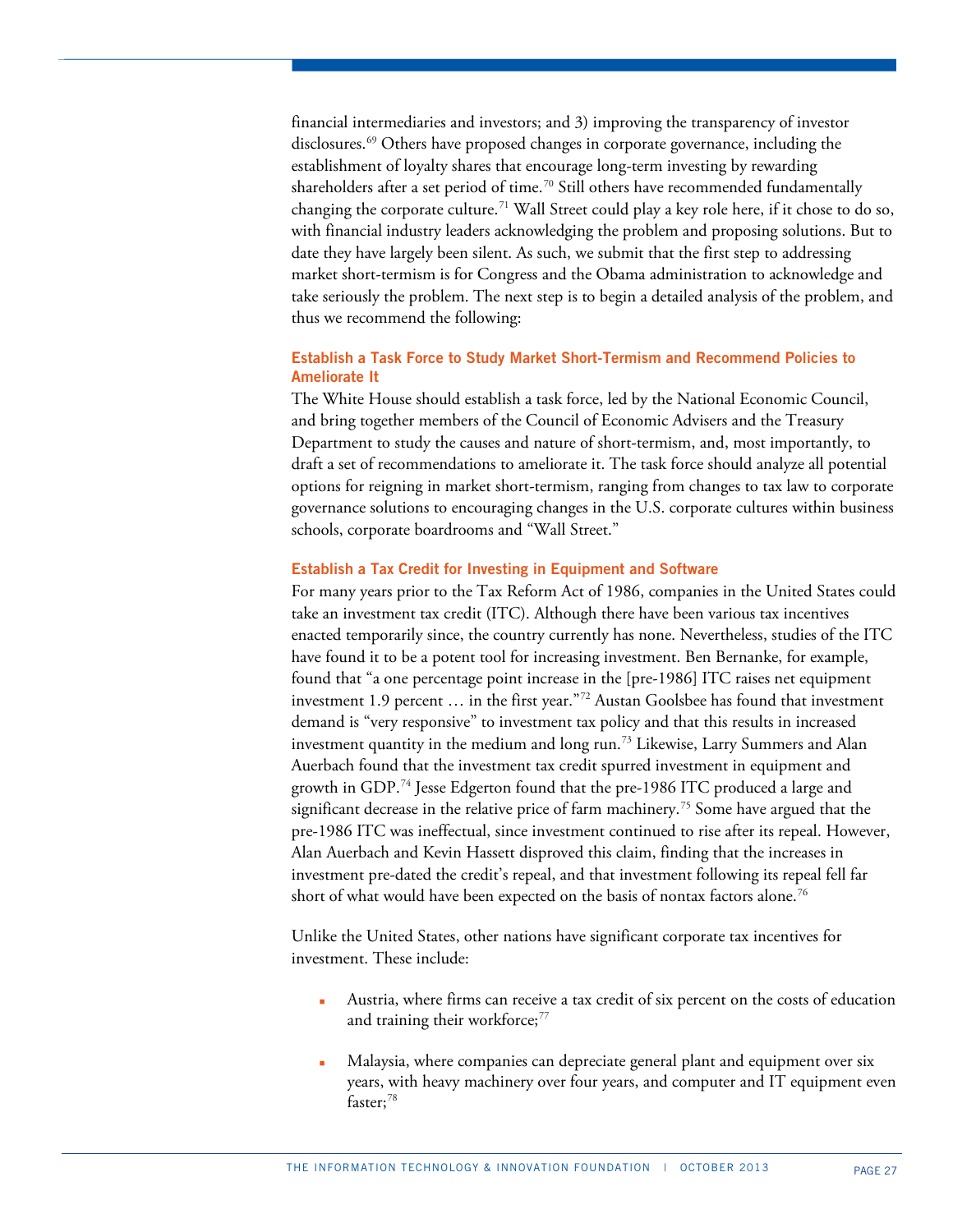financial intermediaries and investors; and 3) improving the transparency of investor disclosures.<sup>[69](#page-38-18)</sup> Others have proposed changes in corporate governance, including the establishment of loyalty shares that encourage long-term investing by rewarding shareholders after a set period of time.<sup>[70](#page-38-47)</sup> Still others have recommended fundamentally changing the corporate culture.<sup>[71](#page-38-48)</sup> Wall Street could play a key role here, if it chose to do so, with financial industry leaders acknowledging the problem and proposing solutions. But to date they have largely been silent. As such, we submit that the first step to addressing market short-termism is for Congress and the Obama administration to acknowledge and take seriously the problem. The next step is to begin a detailed analysis of the problem, and thus we recommend the following:

## **Establish a Task Force to Study Market Short-Termism and Recommend Policies to Ameliorate It**

The White House should establish a task force, led by the National Economic Council, and bring together members of the Council of Economic Advisers and the Treasury Department to study the causes and nature of short-termism, and, most importantly, to draft a set of recommendations to ameliorate it. The task force should analyze all potential options for reigning in market short-termism, ranging from changes to tax law to corporate governance solutions to encouraging changes in the U.S. corporate cultures within business schools, corporate boardrooms and "Wall Street."

## **Establish a Tax Credit for Investing in Equipment and Software**

For many years prior to the Tax Reform Act of 1986, companies in the United States could take an investment tax credit (ITC). Although there have been various tax incentives enacted temporarily since, the country currently has none. Nevertheless, studies of the ITC have found it to be a potent tool for increasing investment. Ben Bernanke, for example, found that "a one percentage point increase in the [pre-1986] ITC raises net equipment investment 1.9 percent … in the first year."[72](#page-38-23) Austan Goolsbee has found that investment demand is "very responsive" to investment tax policy and that this results in increased investment quantity in the medium and long run.[73](#page-38-25) Likewise, Larry Summers and Alan Auerbach found that the investment tax credit spurred investment in equipment and growth in GDP.<sup>[74](#page-38-49)</sup> Jesse Edgerton found that the pre-1986 ITC produced a large and significant decrease in the relative price of farm machinery.<sup>[75](#page-38-50)</sup> Some have argued that the pre-1986 ITC was ineffectual, since investment continued to rise after its repeal. However, Alan Auerbach and Kevin Hassett disproved this claim, finding that the increases in investment pre-dated the credit's repeal, and that investment following its repeal fell far short of what would have been expected on the basis of nontax factors alone.<sup>[76](#page-38-28)</sup>

Unlike the United States, other nations have significant corporate tax incentives for investment. These include:

- Austria, where firms can receive a tax credit of six percent on the costs of education and training their workforce; [77](#page-38-51)
- Malaysia, where companies can depreciate general plant and equipment over six years, with heavy machinery over four years, and computer and IT equipment even faster; [78](#page-38-52)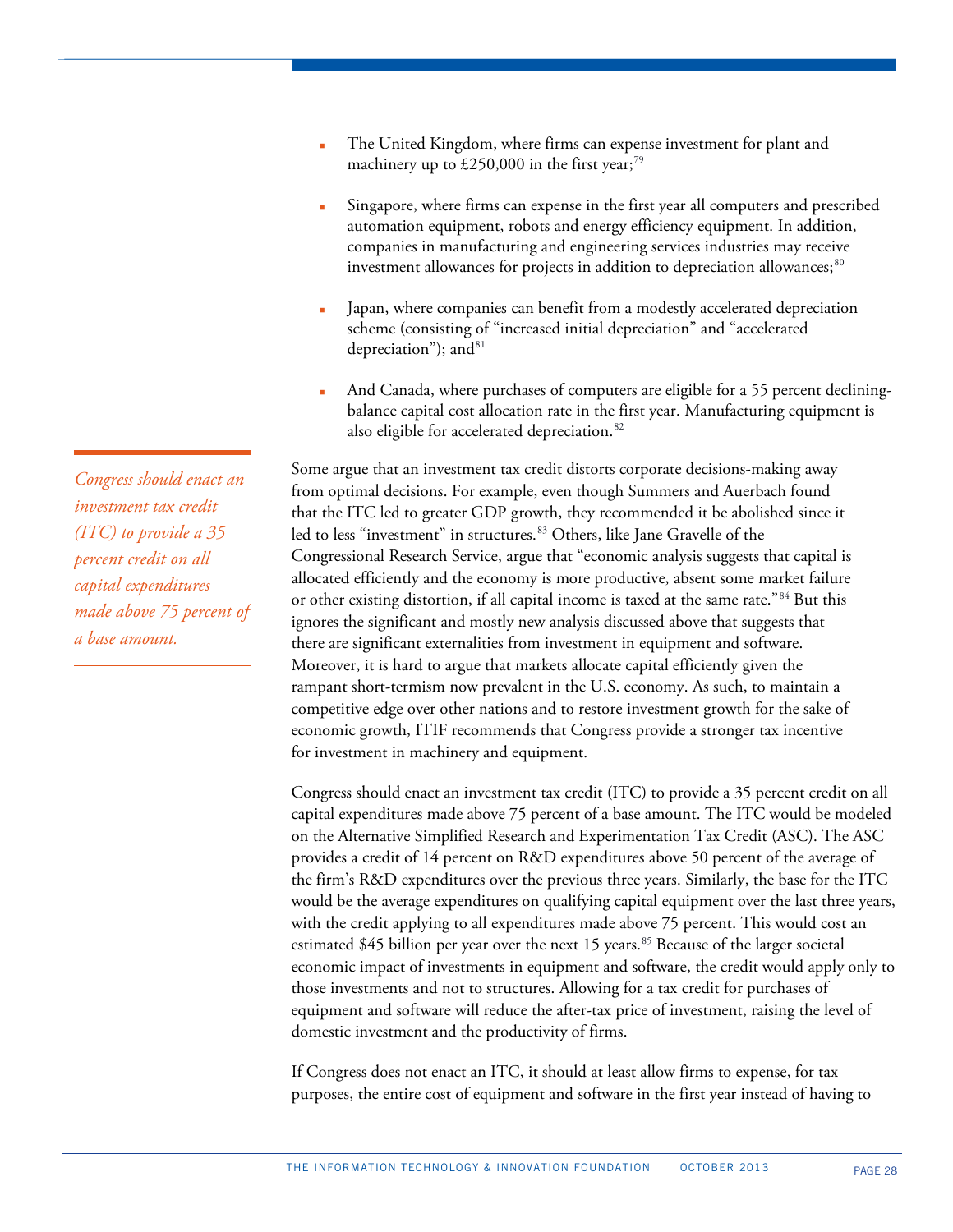- The United Kingdom, where firms can expense investment for plant and machinery up to £250,000 in the first year; $^{79}$  $^{79}$  $^{79}$
- Singapore, where firms can expense in the first year all computers and prescribed automation equipment, robots and energy efficiency equipment. In addition, companies in manufacturing and engineering services industries may receive investment allowances for projects in addition to depreciation allowances; $^{\rm 80}$  $^{\rm 80}$  $^{\rm 80}$
- Japan, where companies can benefit from a modestly accelerated depreciation scheme (consisting of "increased initial depreciation" and "accelerated depreciation"); and  $81$
- And Canada, where purchases of computers are eligible for a 55 percent decliningbalance capital cost allocation rate in the first year. Manufacturing equipment is also eligible for accelerated depreciation.<sup>[82](#page-38-46)</sup>

Some argue that an investment tax credit distorts corporate decisions-making away from optimal decisions. For example, even though Summers and Auerbach found that the ITC led to greater GDP growth, they recommended it be abolished since it led to less "investment" in structures.<sup>[83](#page-38-54)</sup> Others, like Jane Gravelle of the Congressional Research Service, argue that "economic analysis suggests that capital is allocated efficiently and the economy is more productive, absent some market failure or other existing distortion, if all capital income is taxed at the same rate."[84](#page-38-14) But this ignores the significant and mostly new analysis discussed above that suggests that there are significant externalities from investment in equipment and software. Moreover, it is hard to argue that markets allocate capital efficiently given the rampant short-termism now prevalent in the U.S. economy. As such, to maintain a competitive edge over other nations and to restore investment growth for the sake of economic growth, ITIF recommends that Congress provide a stronger tax incentive for investment in machinery and equipment.

Congress should enact an investment tax credit (ITC) to provide a 35 percent credit on all capital expenditures made above 75 percent of a base amount. The ITC would be modeled on the Alternative Simplified Research and Experimentation Tax Credit (ASC). The ASC provides a credit of 14 percent on R&D expenditures above 50 percent of the average of the firm's R&D expenditures over the previous three years. Similarly, the base for the ITC would be the average expenditures on qualifying capital equipment over the last three years, with the credit applying to all expenditures made above 75 percent. This would cost an estimated  $$45$  billion per year over the next 15 years.<sup>85</sup> Because of the larger societal economic impact of investments in equipment and software, the credit would apply only to those investments and not to structures. Allowing for a tax credit for purchases of equipment and software will reduce the after-tax price of investment, raising the level of domestic investment and the productivity of firms.

If Congress does not enact an ITC, it should at least allow firms to expense, for tax purposes, the entire cost of equipment and software in the first year instead of having to

*Congress should enact an investment tax credit (ITC) to provide a 35 percent credit on all capital expenditures made above 75 percent of a base amount.*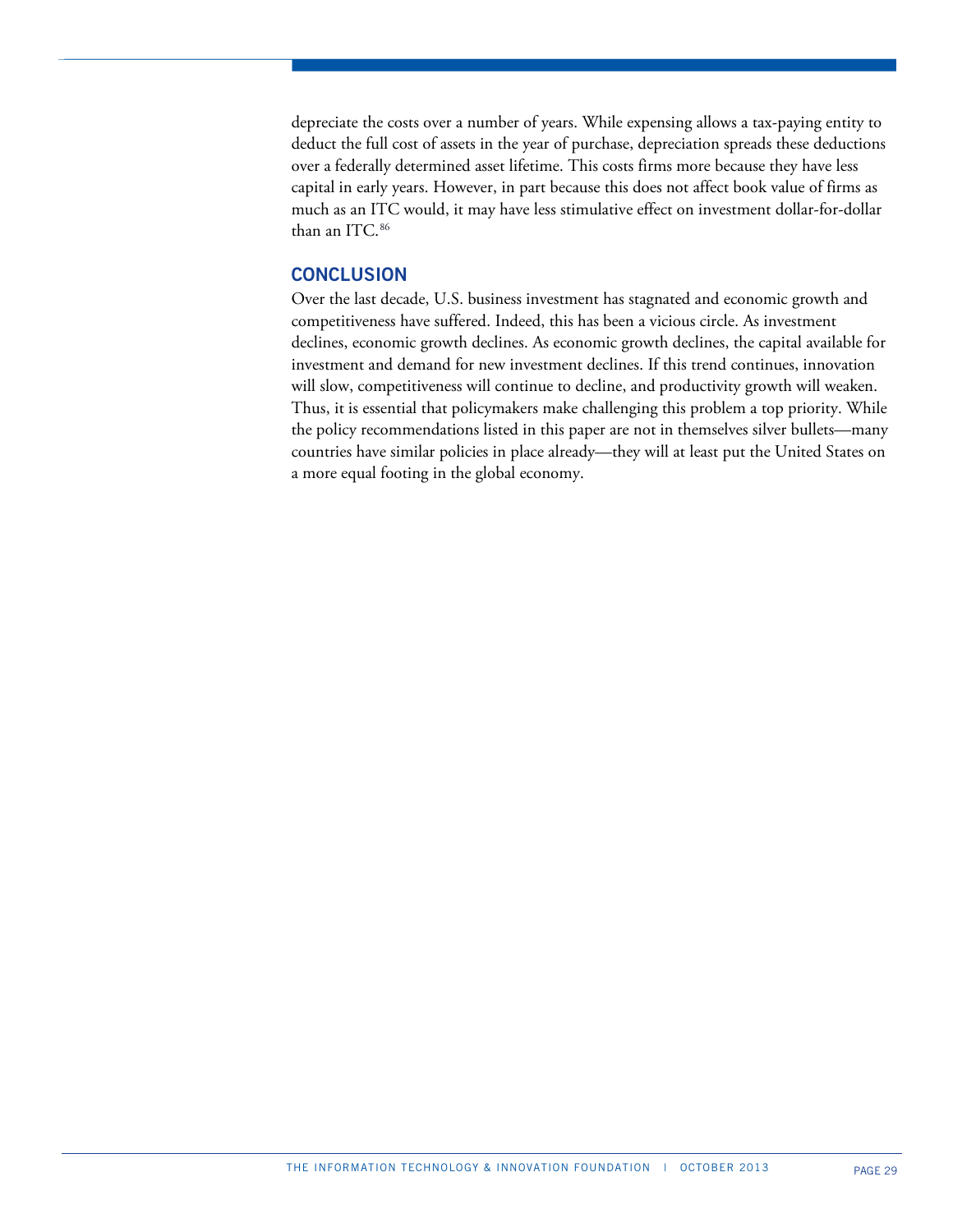depreciate the costs over a number of years. While expensing allows a tax-paying entity to deduct the full cost of assets in the year of purchase, depreciation spreads these deductions over a federally determined asset lifetime. This costs firms more because they have less capital in early years. However, in part because this does not affect book value of firms as much as an ITC would, it may have less stimulative effect on investment dollar-for-dollar than an ITC.<sup>[86](#page-38-19)</sup>

## **CONCLUSION**

Over the last decade, U.S. business investment has stagnated and economic growth and competitiveness have suffered. Indeed, this has been a vicious circle. As investment declines, economic growth declines. As economic growth declines, the capital available for investment and demand for new investment declines. If this trend continues, innovation will slow, competitiveness will continue to decline, and productivity growth will weaken. Thus, it is essential that policymakers make challenging this problem a top priority. While the policy recommendations listed in this paper are not in themselves silver bullets—many countries have similar policies in place already—they will at least put the United States on a more equal footing in the global economy.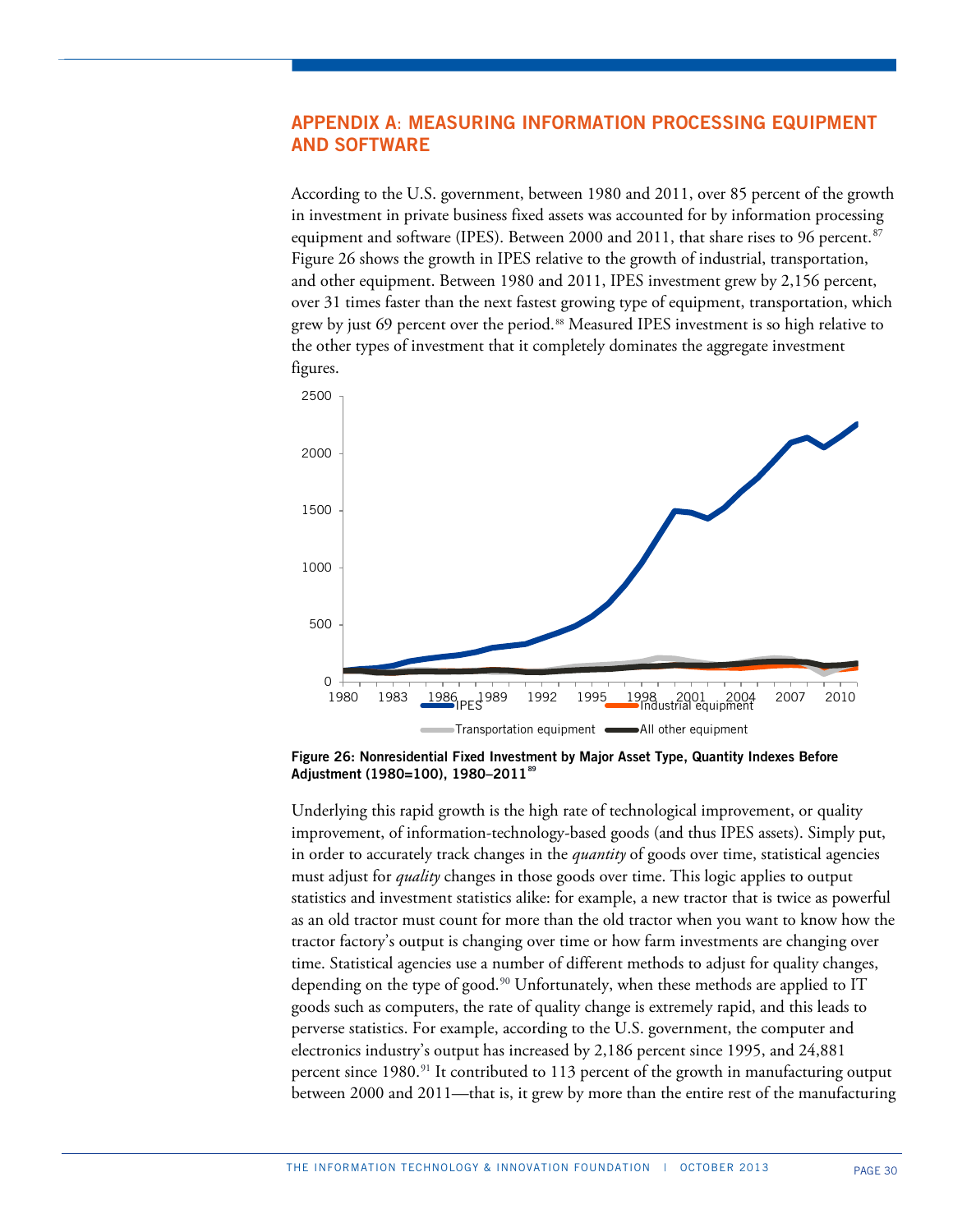# **APPENDIX A**: **MEASURING INFORMATION PROCESSING EQUIPMENT AND SOFTWARE**

According to the U.S. government, between 1980 and 2011, over 85 percent of the growth in investment in private business fixed assets was accounted for by information processing equipment and software (IPES). Between 2000 and 2011, that share rises to 96 percent.<sup>[87](#page-38-20)</sup> Figure 26 shows the growth in IPES relative to the growth of industrial, transportation, and other equipment. Between 1980 and 2011, IPES investment grew by 2,156 percent, over 31 times faster than the next fastest growing type of equipment, transportation, which grew by just 69 percent over the period.<sup>[88](#page-38-41)</sup> Measured IPES investment is so high relative to the other types of investment that it completely dominates the aggregate investment figures.



**Figure 26: Nonresidential Fixed Investment by Major Asset Type, Quantity Indexes Before Adjustment (1980=100), 1980–2011[89](#page-38-55)**

Underlying this rapid growth is the high rate of technological improvement, or quality improvement, of information-technology-based goods (and thus IPES assets). Simply put, in order to accurately track changes in the *quantity* of goods over time, statistical agencies must adjust for *quality* changes in those goods over time. This logic applies to output statistics and investment statistics alike: for example, a new tractor that is twice as powerful as an old tractor must count for more than the old tractor when you want to know how the tractor factory's output is changing over time or how farm investments are changing over time. Statistical agencies use a number of different methods to adjust for quality changes, depending on the type of good.<sup>[90](#page-38-23)</sup> Unfortunately, when these methods are applied to IT goods such as computers, the rate of quality change is extremely rapid, and this leads to perverse statistics. For example, according to the U.S. government, the computer and electronics industry's output has increased by 2,186 percent since 1995, and 24,881 percent since  $1980$ .<sup>[91](#page-38-25)</sup> It contributed to  $113$  percent of the growth in manufacturing output between 2000 and 2011—that is, it grew by more than the entire rest of the manufacturing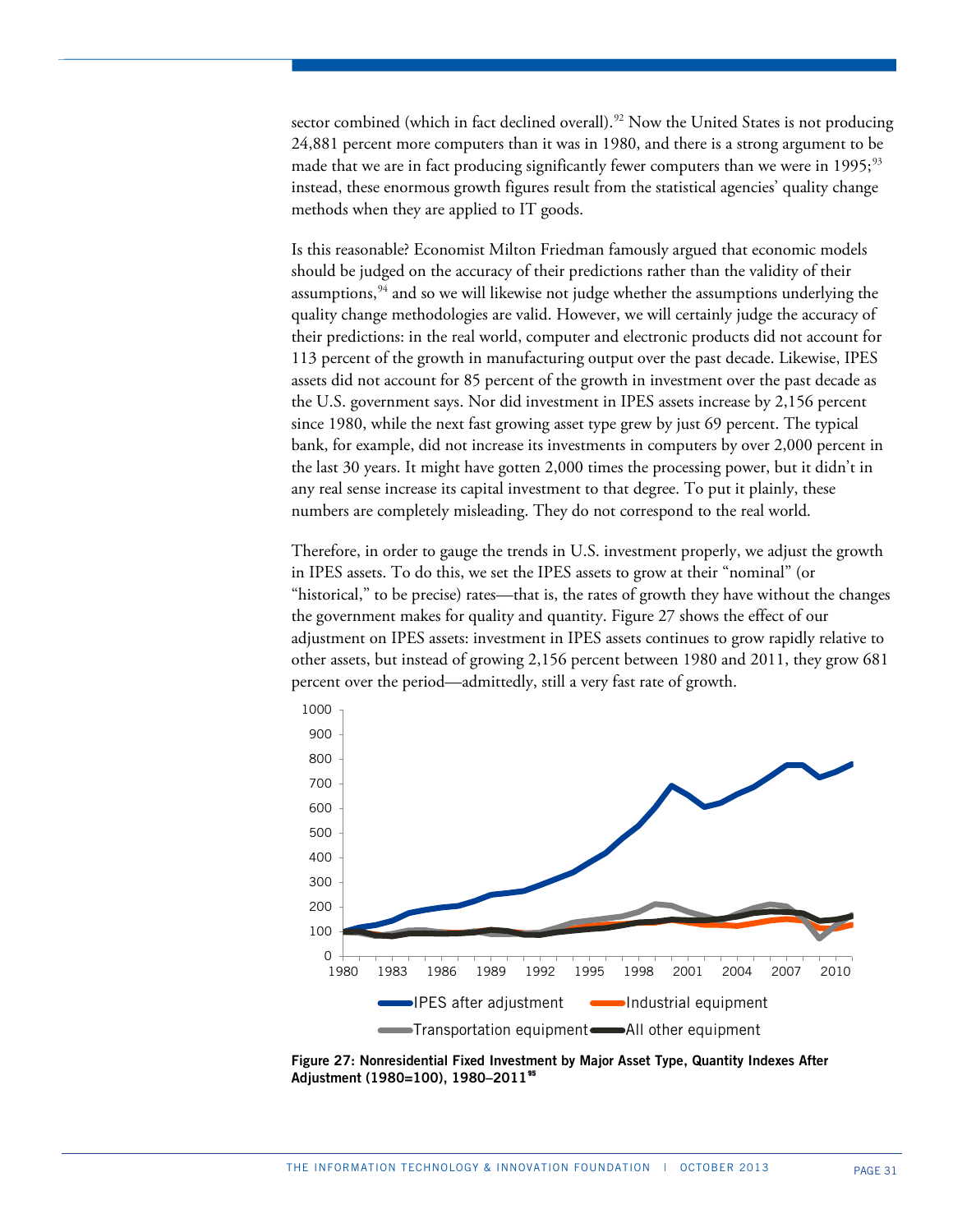sector combined (which in fact declined overall).<sup>[92](#page-38-49)</sup> Now the United States is not producing 24,881 percent more computers than it was in 1980, and there is a strong argument to be made that we are in fact producing significantly fewer computers than we were in 1995;<sup>[93](#page-38-50)</sup> instead, these enormous growth figures result from the statistical agencies' quality change methods when they are applied to IT goods.

Is this reasonable? Economist Milton Friedman famously argued that economic models should be judged on the accuracy of their predictions rather than the validity of their assumptions, $94$  and so we will likewise not judge whether the assumptions underlying the quality change methodologies are valid. However, we will certainly judge the accuracy of their predictions: in the real world, computer and electronic products did not account for 113 percent of the growth in manufacturing output over the past decade. Likewise, IPES assets did not account for 85 percent of the growth in investment over the past decade as the U.S. government says. Nor did investment in IPES assets increase by 2,156 percent since 1980, while the next fast growing asset type grew by just 69 percent. The typical bank, for example, did not increase its investments in computers by over 2,000 percent in the last 30 years. It might have gotten 2,000 times the processing power, but it didn't in any real sense increase its capital investment to that degree. To put it plainly, these numbers are completely misleading. They do not correspond to the real world.

Therefore, in order to gauge the trends in U.S. investment properly, we adjust the growth in IPES assets. To do this, we set the IPES assets to grow at their "nominal" (or "historical," to be precise) rates—that is, the rates of growth they have without the changes the government makes for quality and quantity. Figure 27 shows the effect of our adjustment on IPES assets: investment in IPES assets continues to grow rapidly relative to other assets, but instead of growing 2,156 percent between 1980 and 2011, they grow 681 percent over the period—admittedly, still a very fast rate of growth.



**Figure 27: Nonresidential Fixed Investment by Major Asset Type, Quantity Indexes After Adjustment (1980=100), 1980–2011[95](#page-38-56)**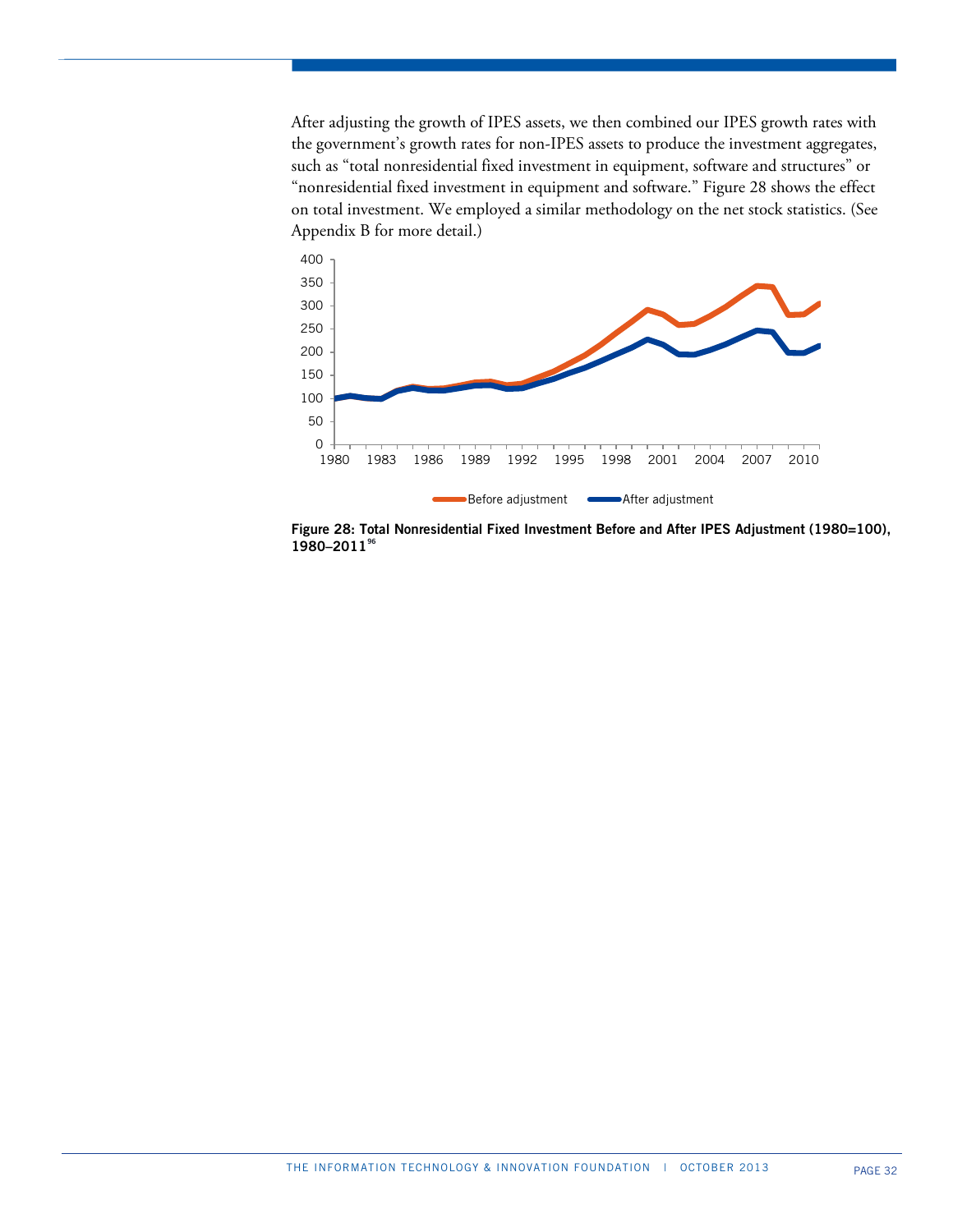After adjusting the growth of IPES assets, we then combined our IPES growth rates with the government's growth rates for non-IPES assets to produce the investment aggregates, such as "total nonresidential fixed investment in equipment, software and structures" or "nonresidential fixed investment in equipment and software." Figure 28 shows the effect on total investment. We employed a similar methodology on the net stock statistics. (See Appendix B for more detail.)



**Figure 28: Total Nonresidential Fixed Investment Before and After IPES Adjustment (1980=100), 1980–2011[96](#page-38-57)**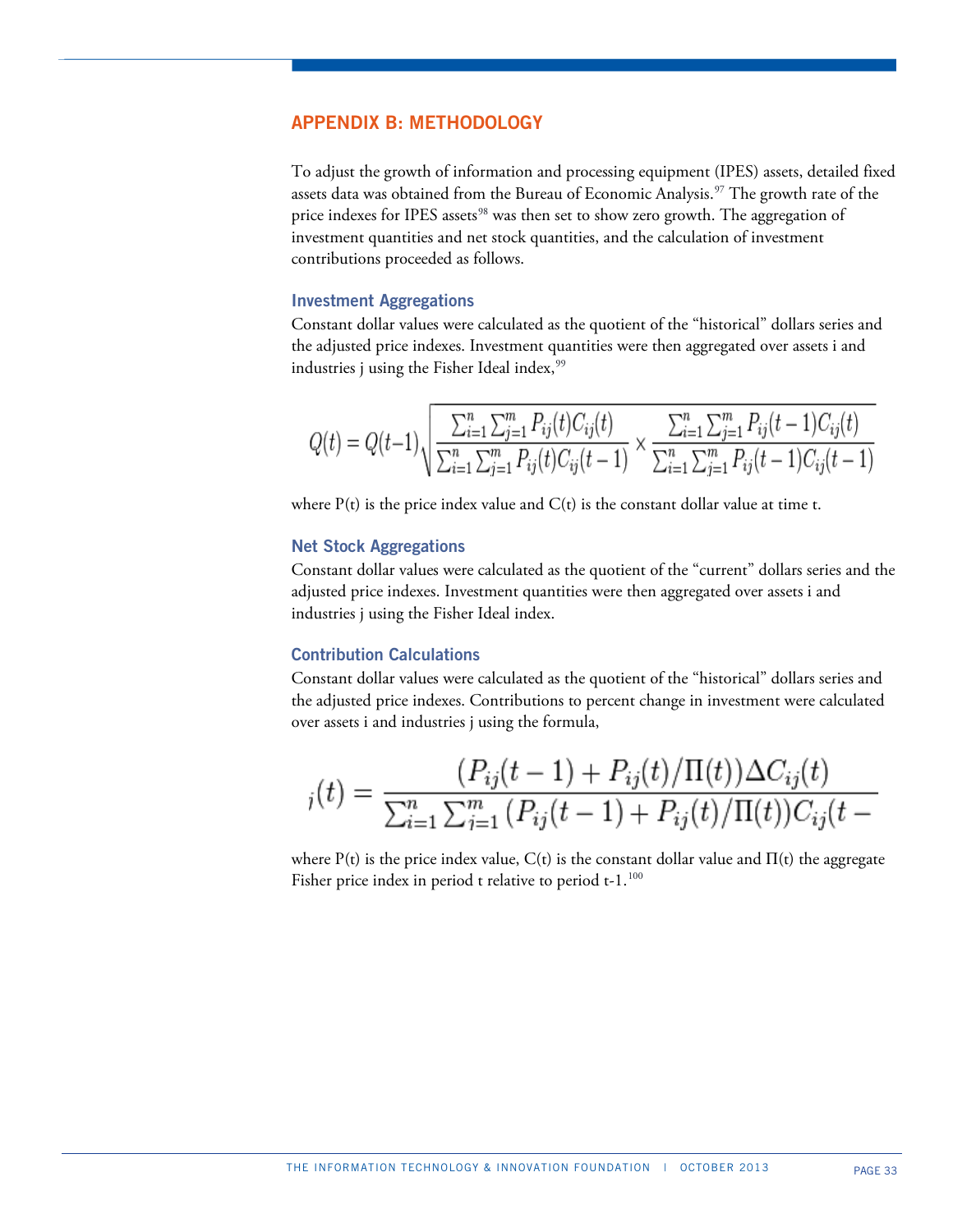# **APPENDIX B: METHODOLOGY**

To adjust the growth of information and processing equipment (IPES) assets, detailed fixed assets data was obtained from the Bureau of Economic Analysis.<sup>[97](#page-38-58)</sup> The growth rate of the price indexes for IPES assets<sup>[98](#page-38-43)</sup> was then set to show zero growth. The aggregation of investment quantities and net stock quantities, and the calculation of investment contributions proceeded as follows.

## **Investment Aggregations**

Constant dollar values were calculated as the quotient of the "historical" dollars series and the adjusted price indexes. Investment quantities were then aggregated over assets i and industries j using the Fisher Ideal index,<sup>[99](#page-38-52)</sup>

$$
Q(t) = Q(t-1)\sqrt{\frac{\sum_{i=1}^{n}\sum_{j=1}^{m}P_{ij}(t)C_{ij}(t)}{\sum_{i=1}^{n}\sum_{j=1}^{m}P_{ij}(t)C_{ij}(t-1)}} \times \frac{\sum_{i=1}^{n}\sum_{j=1}^{m}P_{ij}(t-1)C_{ij}(t)}{\sum_{i=1}^{n}\sum_{j=1}^{m}P_{ij}(t-1)C_{ij}(t-1)}
$$

where  $P(t)$  is the price index value and  $C(t)$  is the constant dollar value at time t.

## **Net Stock Aggregations**

Constant dollar values were calculated as the quotient of the "current" dollars series and the adjusted price indexes. Investment quantities were then aggregated over assets i and industries j using the Fisher Ideal index.

## **Contribution Calculations**

Constant dollar values were calculated as the quotient of the "historical" dollars series and the adjusted price indexes. Contributions to percent change in investment were calculated over assets i and industries j using the formula,

$$
j(t) = \frac{(P_{ij}(t-1) + P_{ij}(t)/\Pi(t))\Delta C_{ij}(t)}{\sum_{i=1}^{n} \sum_{j=1}^{m} (P_{ij}(t-1) + P_{ij}(t)/\Pi(t))C_{ij}(t-1)}
$$

where P(t) is the price index value, C(t) is the constant dollar value and  $\Pi(t)$  the aggregate Fisher price index in period t relative to period t-1.<sup>[100](#page-38-29)</sup>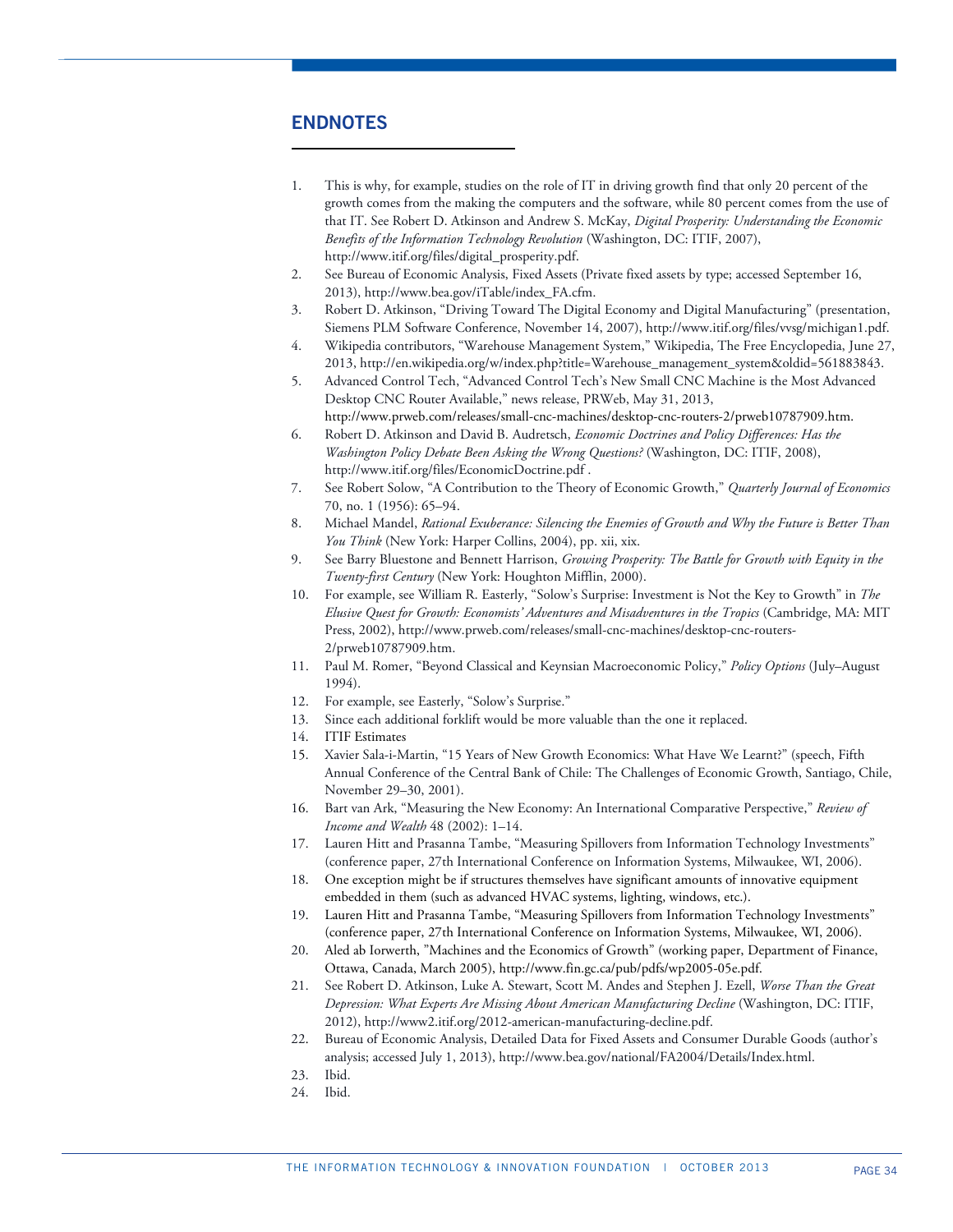# **ENDNOTES**

 $\overline{a}$ 

- 1. This is why, for example, studies on the role of IT in driving growth find that only 20 percent of the growth comes from the making the computers and the software, while 80 percent comes from the use of that IT. See Robert D. Atkinson and Andrew S. McKay, *Digital Prosperity: Understanding the Economic Benefits of the Information Technology Revolution* (Washington, DC: ITIF, 2007), http://www.itif.org/files/digital\_prosperity.pdf.
- 2. See Bureau of Economic Analysis, Fixed Assets (Private fixed assets by type; accessed September 16, 2013), http://www.bea.gov/iTable/index\_FA.cfm.
- 3. Robert D. Atkinson, "Driving Toward The Digital Economy and Digital Manufacturing" (presentation, Siemens PLM Software Conference, November 14, 2007), http://www.itif.org/files/vvsg/michigan1.pdf.
- 4. Wikipedia contributors, "Warehouse Management System," Wikipedia, The Free Encyclopedia, June 27, 2013, http://en.wikipedia.org/w/index.php?title=Warehouse\_management\_system&oldid=561883843.
- 5. Advanced Control Tech, "Advanced Control Tech's New Small CNC Machine is the Most Advanced Desktop CNC Router Available," news release, PRWeb, May 31, 2013,
- http://www.prweb.com/releases/small-cnc-machines/desktop-cnc-routers-2/prweb10787909.htm. 6. Robert D. Atkinson and David B. Audretsch, *Economic Doctrines and Policy Differences: Has the Washington Policy Debate Been Asking the Wrong Questions?* (Washington, DC: ITIF, 2008), http://www.itif.org/files/EconomicDoctrine.pdf .
- 7. See Robert Solow, "A Contribution to the Theory of Economic Growth," *Quarterly Journal of Economics* 70, no. 1 (1956): 65–94.
- 8. Michael Mandel, *Rational Exuberance: Silencing the Enemies of Growth and Why the Future is Better Than You Think* (New York: Harper Collins, 2004), pp. xii, xix.
- 9. See Barry Bluestone and Bennett Harrison, *Growing Prosperity: The Battle for Growth with Equity in the Twenty-first Century* (New York: Houghton Mifflin, 2000).
- 10. For example, see William R. Easterly, "Solow's Surprise: Investment is Not the Key to Growth" in *The Elusive Quest for Growth: Economists' Adventures and Misadventures in the Tropics* (Cambridge, MA: MIT Press, 2002), http://www.prweb.com/releases/small-cnc-machines/desktop-cnc-routers-2/prweb10787909.htm.
- 11. Paul M. Romer, "Beyond Classical and Keynsian Macroeconomic Policy," *Policy Options* (July–August 1994).
- 12. For example, see Easterly, "Solow's Surprise."
- 13. Since each additional forklift would be more valuable than the one it replaced.
- 14. ITIF Estimates
- 15. Xavier Sala-i-Martin, "15 Years of New Growth Economics: What Have We Learnt?" (speech, Fifth Annual Conference of the Central Bank of Chile: The Challenges of Economic Growth, Santiago, Chile, November 29–30, 2001).
- 16. Bart van Ark, "Measuring the New Economy: An International Comparative Perspective," *Review of Income and Wealth* 48 (2002): 1–14.
- 17. Lauren Hitt and Prasanna Tambe, "Measuring Spillovers from Information Technology Investments" (conference paper, 27th International Conference on Information Systems, Milwaukee, WI, 2006).
- 18. One exception might be if structures themselves have significant amounts of innovative equipment embedded in them (such as advanced HVAC systems, lighting, windows, etc.).
- 19. Lauren Hitt and Prasanna Tambe, "Measuring Spillovers from Information Technology Investments" (conference paper, 27th International Conference on Information Systems, Milwaukee, WI, 2006).
- 20. Aled ab Iorwerth, "Machines and the Economics of Growth" (working paper, Department of Finance, Ottawa, Canada, March 2005), http://www.fin.gc.ca/pub/pdfs/wp2005-05e.pdf.
- 21. See Robert D. Atkinson, Luke A. Stewart, Scott M. Andes and Stephen J. Ezell, *Worse Than the Great Depression: What Experts Are Missing About American Manufacturing Decline* (Washington, DC: ITIF, 2012), http://www2.itif.org/2012-american-manufacturing-decline.pdf.
- 22. Bureau of Economic Analysis, Detailed Data for Fixed Assets and Consumer Durable Goods (author's analysis; accessed July 1, 2013), http://www.bea.gov/national/FA2004/Details/Index.html.
- 23. Ibid.
- 24. Ibid.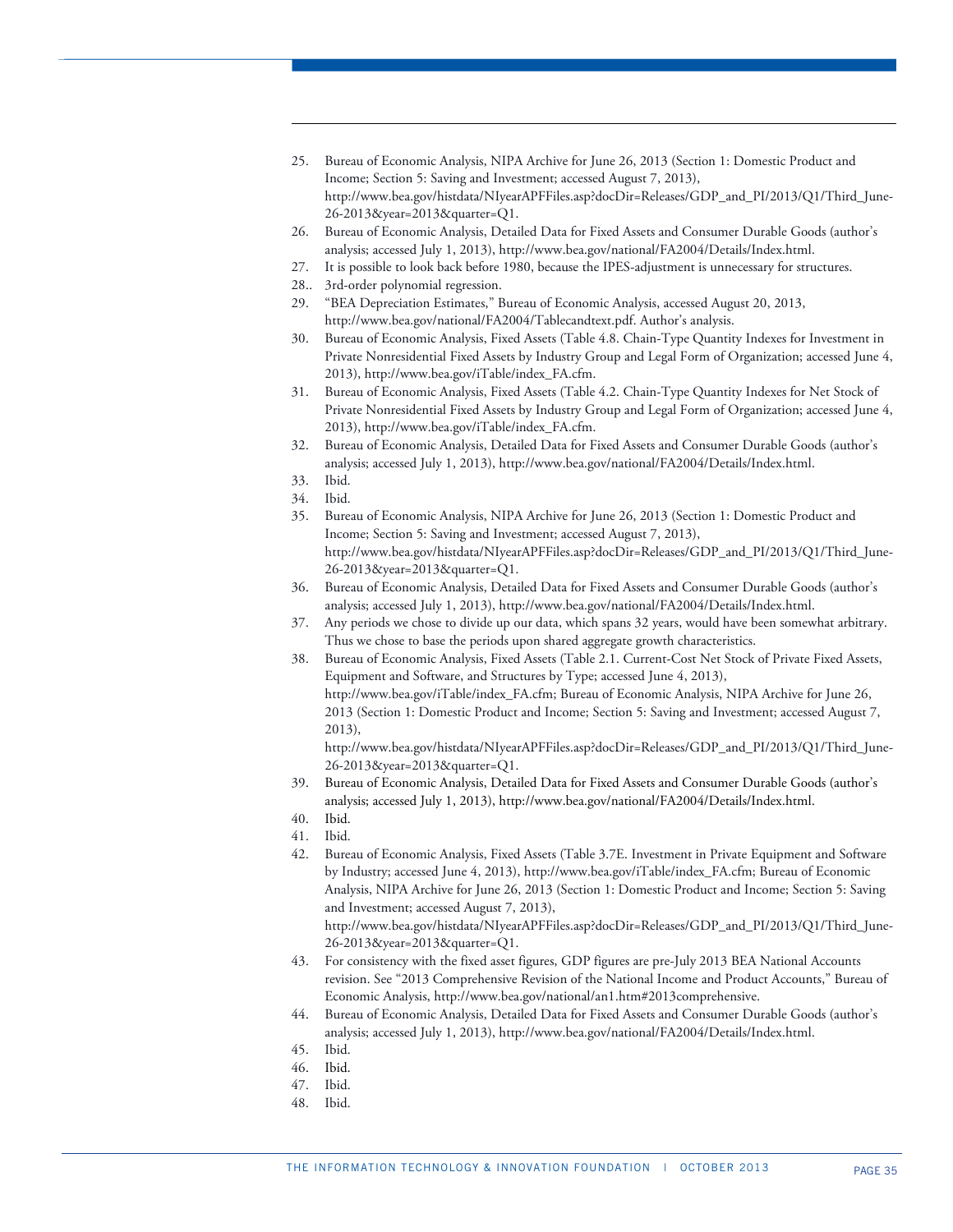- 25. Bureau of Economic Analysis, NIPA Archive for June 26, 2013 (Section 1: Domestic Product and Income; Section 5: Saving and Investment; accessed August 7, 2013), http://www.bea.gov/histdata/NIyearAPFFiles.asp?docDir=Releases/GDP\_and\_PI/2013/Q1/Third\_June-26-2013&year=2013&quarter=Q1.
- 26. Bureau of Economic Analysis, Detailed Data for Fixed Assets and Consumer Durable Goods (author's analysis; accessed July 1, 2013), http://www.bea.gov/national/FA2004/Details/Index.html.
- 27. It is possible to look back before 1980, because the IPES-adjustment is unnecessary for structures.
- 28.. 3rd-order polynomial regression.
- 29. "BEA Depreciation Estimates," Bureau of Economic Analysis, accessed August 20, 2013, http://www.bea.gov/national/FA2004/Tablecandtext.pdf. Author's analysis.
- 30. Bureau of Economic Analysis, Fixed Assets (Table 4.8. Chain-Type Quantity Indexes for Investment in Private Nonresidential Fixed Assets by Industry Group and Legal Form of Organization; accessed June 4, 2013), http://www.bea.gov/iTable/index\_FA.cfm.
- 31. Bureau of Economic Analysis, Fixed Assets (Table 4.2. Chain-Type Quantity Indexes for Net Stock of Private Nonresidential Fixed Assets by Industry Group and Legal Form of Organization; accessed June 4, 2013), http://www.bea.gov/iTable/index\_FA.cfm.
- 32. Bureau of Economic Analysis, Detailed Data for Fixed Assets and Consumer Durable Goods (author's analysis; accessed July 1, 2013), http://www.bea.gov/national/FA2004/Details/Index.html.
- 33. Ibid.

1

- 34. Ibid.
- 35. Bureau of Economic Analysis, NIPA Archive for June 26, 2013 (Section 1: Domestic Product and Income; Section 5: Saving and Investment; accessed August 7, 2013), http://www.bea.gov/histdata/NIyearAPFFiles.asp?docDir=Releases/GDP\_and\_PI/2013/Q1/Third\_June-26-2013&year=2013&quarter=Q1.
- 36. Bureau of Economic Analysis, Detailed Data for Fixed Assets and Consumer Durable Goods (author's analysis; accessed July 1, 2013), http://www.bea.gov/national/FA2004/Details/Index.html.
- 37. Any periods we chose to divide up our data, which spans 32 years, would have been somewhat arbitrary. Thus we chose to base the periods upon shared aggregate growth characteristics.
- 38. Bureau of Economic Analysis, Fixed Assets (Table 2.1. Current-Cost Net Stock of Private Fixed Assets, Equipment and Software, and Structures by Type; accessed June 4, 2013), http://www.bea.gov/iTable/index\_FA.cfm; Bureau of Economic Analysis, NIPA Archive for June 26, 2013 (Section 1: Domestic Product and Income; Section 5: Saving and Investment; accessed August 7, 2013),

http://www.bea.gov/histdata/NIyearAPFFiles.asp?docDir=Releases/GDP\_and\_PI/2013/Q1/Third\_June-26-2013&year=2013&quarter=Q1.

- 39. Bureau of Economic Analysis, Detailed Data for Fixed Assets and Consumer Durable Goods (author's analysis; accessed July 1, 2013), http://www.bea.gov/national/FA2004/Details/Index.html.
- 40. Ibid.
- 41. Ibid.
- 42. Bureau of Economic Analysis, Fixed Assets (Table 3.7E. Investment in Private Equipment and Software by Industry; accessed June 4, 2013), http://www.bea.gov/iTable/index\_FA.cfm; Bureau of Economic Analysis, NIPA Archive for June 26, 2013 (Section 1: Domestic Product and Income; Section 5: Saving and Investment; accessed August 7, 2013),

http://www.bea.gov/histdata/NIyearAPFFiles.asp?docDir=Releases/GDP\_and\_PI/2013/Q1/Third\_June-26-2013&year=2013&quarter=Q1.

- 43. For consistency with the fixed asset figures, GDP figures are pre-July 2013 BEA National Accounts revision. See "2013 Comprehensive Revision of the National Income and Product Accounts," Bureau of Economic Analysis, http://www.bea.gov/national/an1.htm#2013comprehensive.
- 44. Bureau of Economic Analysis, Detailed Data for Fixed Assets and Consumer Durable Goods (author's analysis; accessed July 1, 2013), http://www.bea.gov/national/FA2004/Details/Index.html.
- 45. Ibid.
- 46. Ibid.
- 47. Ibid.
- 48. Ibid.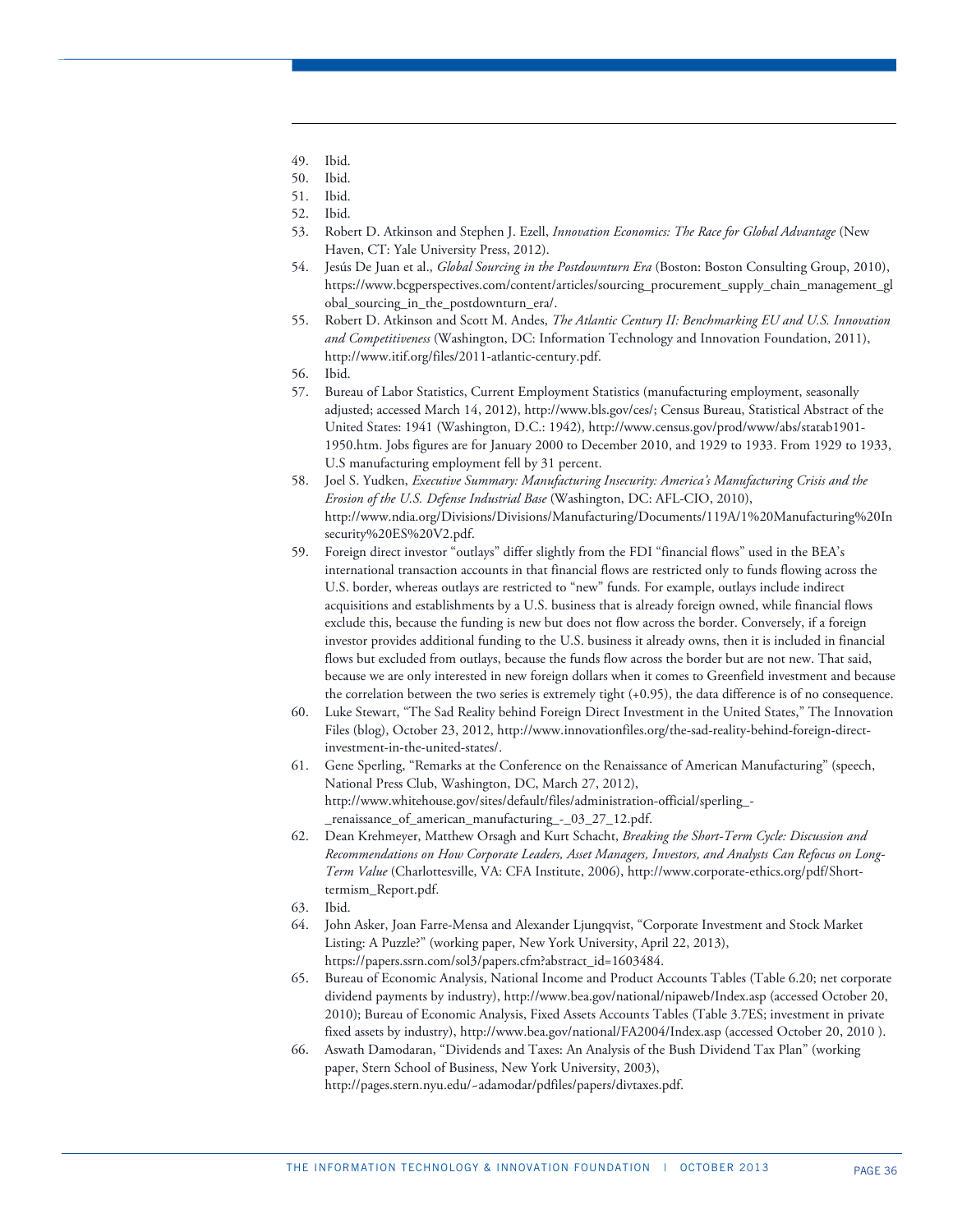49. Ibid.

1

- 50. Ibid.
- 51. Ibid.
- 52. Ibid.
- 53. Robert D. Atkinson and Stephen J. Ezell, *Innovation Economics: The Race for Global Advantage* (New Haven, CT: Yale University Press, 2012).
- 54. Jesús De Juan et al., *Global Sourcing in the Postdownturn Era* (Boston: Boston Consulting Group, 2010), https://www.bcgperspectives.com/content/articles/sourcing\_procurement\_supply\_chain\_management\_gl obal\_sourcing\_in\_the\_postdownturn\_era/.
- 55. Robert D. Atkinson and Scott M. Andes, *The Atlantic Century II: Benchmarking EU and U.S. Innovation and Competitiveness* (Washington, DC: Information Technology and Innovation Foundation, 2011), http://www.itif.org/files/2011-atlantic-century.pdf.
- 56. Ibid.
- 57. Bureau of Labor Statistics, Current Employment Statistics (manufacturing employment, seasonally adjusted; accessed March 14, 2012), http://www.bls.gov/ces/; Census Bureau, Statistical Abstract of the United States: 1941 (Washington, D.C.: 1942), http://www.census.gov/prod/www/abs/statab1901- 1950.htm. Jobs figures are for January 2000 to December 2010, and 1929 to 1933. From 1929 to 1933, U.S manufacturing employment fell by 31 percent.
- 58. Joel S. Yudken, *Executive Summary: Manufacturing Insecurity: America's Manufacturing Crisis and the Erosion of the U.S. Defense Industrial Base* (Washington, DC: AFL-CIO, 2010), http://www.ndia.org/Divisions/Divisions/Manufacturing/Documents/119A/1%20Manufacturing%20In security%20ES%20V2.pdf.
- 59. Foreign direct investor "outlays" differ slightly from the FDI "financial flows" used in the BEA's international transaction accounts in that financial flows are restricted only to funds flowing across the U.S. border, whereas outlays are restricted to "new" funds. For example, outlays include indirect acquisitions and establishments by a U.S. business that is already foreign owned, while financial flows exclude this, because the funding is new but does not flow across the border. Conversely, if a foreign investor provides additional funding to the U.S. business it already owns, then it is included in financial flows but excluded from outlays, because the funds flow across the border but are not new. That said, because we are only interested in new foreign dollars when it comes to Greenfield investment and because the correlation between the two series is extremely tight (+0.95), the data difference is of no consequence.
- 60. Luke Stewart, "The Sad Reality behind Foreign Direct Investment in the United States," The Innovation Files (blog), October 23, 2012, http://www.innovationfiles.org/the-sad-reality-behind-foreign-directinvestment-in-the-united-states/.
- 61. Gene Sperling, "Remarks at the Conference on the Renaissance of American Manufacturing" (speech, National Press Club, Washington, DC, March 27, 2012), http://www.whitehouse.gov/sites/default/files/administration-official/sperling\_- \_renaissance\_of\_american\_manufacturing\_-\_03\_27\_12.pdf.
- 62. Dean Krehmeyer, Matthew Orsagh and Kurt Schacht, *Breaking the Short-Term Cycle: Discussion and Recommendations on How Corporate Leaders, Asset Managers, Investors, and Analysts Can Refocus on Long-Term Value* (Charlottesville, VA: CFA Institute, 2006), http://www.corporate-ethics.org/pdf/Shorttermism\_Report.pdf.
- 63. Ibid.
- 64. John Asker, Joan Farre-Mensa and Alexander Ljungqvist, "Corporate Investment and Stock Market Listing: A Puzzle?" (working paper, New York University, April 22, 2013), https://papers.ssrn.com/sol3/papers.cfm?abstract\_id=1603484.
- 65. Bureau of Economic Analysis, National Income and Product Accounts Tables (Table 6.20; net corporate dividend payments by industry), http://www.bea.gov/national/nipaweb/Index.asp (accessed October 20, 2010); Bureau of Economic Analysis, Fixed Assets Accounts Tables (Table 3.7ES; investment in private fixed assets by industry), http://www.bea.gov/national/FA2004/Index.asp (accessed October 20, 2010 ).
- 66. Aswath Damodaran, "Dividends and Taxes: An Analysis of the Bush Dividend Tax Plan" (working paper, Stern School of Business, New York University, 2003), http://pages.stern.nyu.edu/~adamodar/pdfiles/papers/divtaxes.pdf.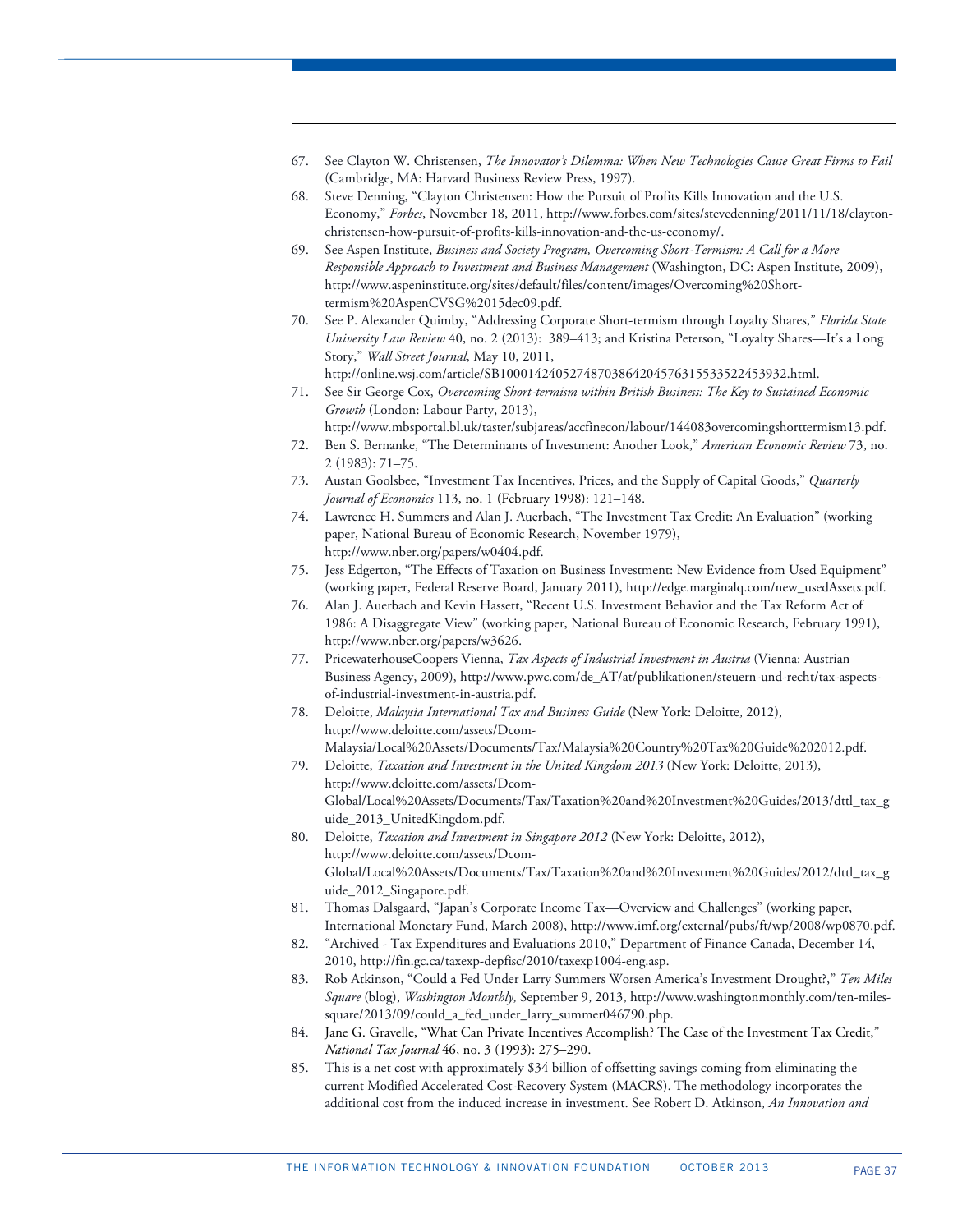67. See Clayton W. Christensen, *The Innovator's Dilemma: When New Technologies Cause Great Firms to Fail* (Cambridge, MA: Harvard Business Review Press, 1997).

1

- 68. Steve Denning, "Clayton Christensen: How the Pursuit of Profits Kills Innovation and the U.S. Economy," *Forbes*, November 18, 2011, http://www.forbes.com/sites/stevedenning/2011/11/18/claytonchristensen-how-pursuit-of-profits-kills-innovation-and-the-us-economy/.
- 69. See Aspen Institute, *Business and Society Program, Overcoming Short-Termism: A Call for a More Responsible Approach to Investment and Business Management* (Washington, DC: Aspen Institute, 2009), http://www.aspeninstitute.org/sites/default/files/content/images/Overcoming%20Shorttermism%20AspenCVSG%2015dec09.pdf.
- 70. See P. Alexander Quimby, "Addressing Corporate Short-termism through Loyalty Shares," *Florida State University Law Review* 40, no. 2 (2013): 389–413; and Kristina Peterson, "Loyalty Shares—It's a Long Story," *Wall Street Journal*, May 10, 2011,

http://online.wsj.com/article/SB10001424052748703864204576315533522453932.html. 71. See Sir George Cox, *Overcoming Short-termism within British Business: The Key to Sustained Economic Growth* (London: Labour Party, 2013), http://www.mbsportal.bl.uk/taster/subjareas/accfinecon/labour/144083overcomingshorttermism13.pdf.

- 72. Ben S. Bernanke, "The Determinants of Investment: Another Look," *American Economic Review* 73, no. 2 (1983): 71–75.
- 73. Austan Goolsbee, "Investment Tax Incentives, Prices, and the Supply of Capital Goods," *Quarterly Journal of Economics* 113, no. 1 (February 1998): 121–148.
- 74. Lawrence H. Summers and Alan J. Auerbach, "The Investment Tax Credit: An Evaluation" (working paper, National Bureau of Economic Research, November 1979), http://www.nber.org/papers/w0404.pdf.
- 75. Jess Edgerton, "The Effects of Taxation on Business Investment: New Evidence from Used Equipment" (working paper, Federal Reserve Board, January 2011), http://edge.marginalq.com/new\_usedAssets.pdf.
- 76. Alan J. Auerbach and Kevin Hassett, "Recent U.S. Investment Behavior and the Tax Reform Act of 1986: A Disaggregate View" (working paper, National Bureau of Economic Research, February 1991), http://www.nber.org/papers/w3626.
- 77. PricewaterhouseCoopers Vienna, *Tax Aspects of Industrial Investment in Austria* (Vienna: Austrian Business Agency, 2009), http://www.pwc.com/de\_AT/at/publikationen/steuern-und-recht/tax-aspectsof-industrial-investment-in-austria.pdf.
- 78. Deloitte, *Malaysia International Tax and Business Guide* (New York: Deloitte, 2012), http://www.deloitte.com/assets/Dcom-Malaysia/Local%20Assets/Documents/Tax/Malaysia%20Country%20Tax%20Guide%202012.pdf.
- 79. Deloitte, *Taxation and Investment in the United Kingdom 2013* (New York: Deloitte, 2013), http://www.deloitte.com/assets/Dcom-Global/Local%20Assets/Documents/Tax/Taxation%20and%20Investment%20Guides/2013/dttl\_tax\_g uide\_2013\_UnitedKingdom.pdf.
- 80. Deloitte, *Taxation and Investment in Singapore 2012* (New York: Deloitte, 2012), http://www.deloitte.com/assets/Dcom-Global/Local%20Assets/Documents/Tax/Taxation%20and%20Investment%20Guides/2012/dttl\_tax\_g uide\_2012\_Singapore.pdf.
- 81. Thomas Dalsgaard, "Japan's Corporate Income Tax—Overview and Challenges" (working paper, International Monetary Fund, March 2008), http://www.imf.org/external/pubs/ft/wp/2008/wp0870.pdf.
- 82. "Archived Tax Expenditures and Evaluations 2010," Department of Finance Canada, December 14, 2010, http://fin.gc.ca/taxexp-depfisc/2010/taxexp1004-eng.asp.
- 83. Rob Atkinson, "Could a Fed Under Larry Summers Worsen America's Investment Drought?," *Ten Miles Square* (blog), *Washington Monthly*, September 9, 2013, http://www.washingtonmonthly.com/ten-milessquare/2013/09/could a fed under larry summer046790.php.
- 84. Jane G. Gravelle, "What Can Private Incentives Accomplish? The Case of the Investment Tax Credit," *National Tax Journal* 46, no. 3 (1993): 275–290.
- 85. This is a net cost with approximately \$34 billion of offsetting savings coming from eliminating the current Modified Accelerated Cost-Recovery System (MACRS). The methodology incorporates the additional cost from the induced increase in investment. See Robert D. Atkinson, *An Innovation and*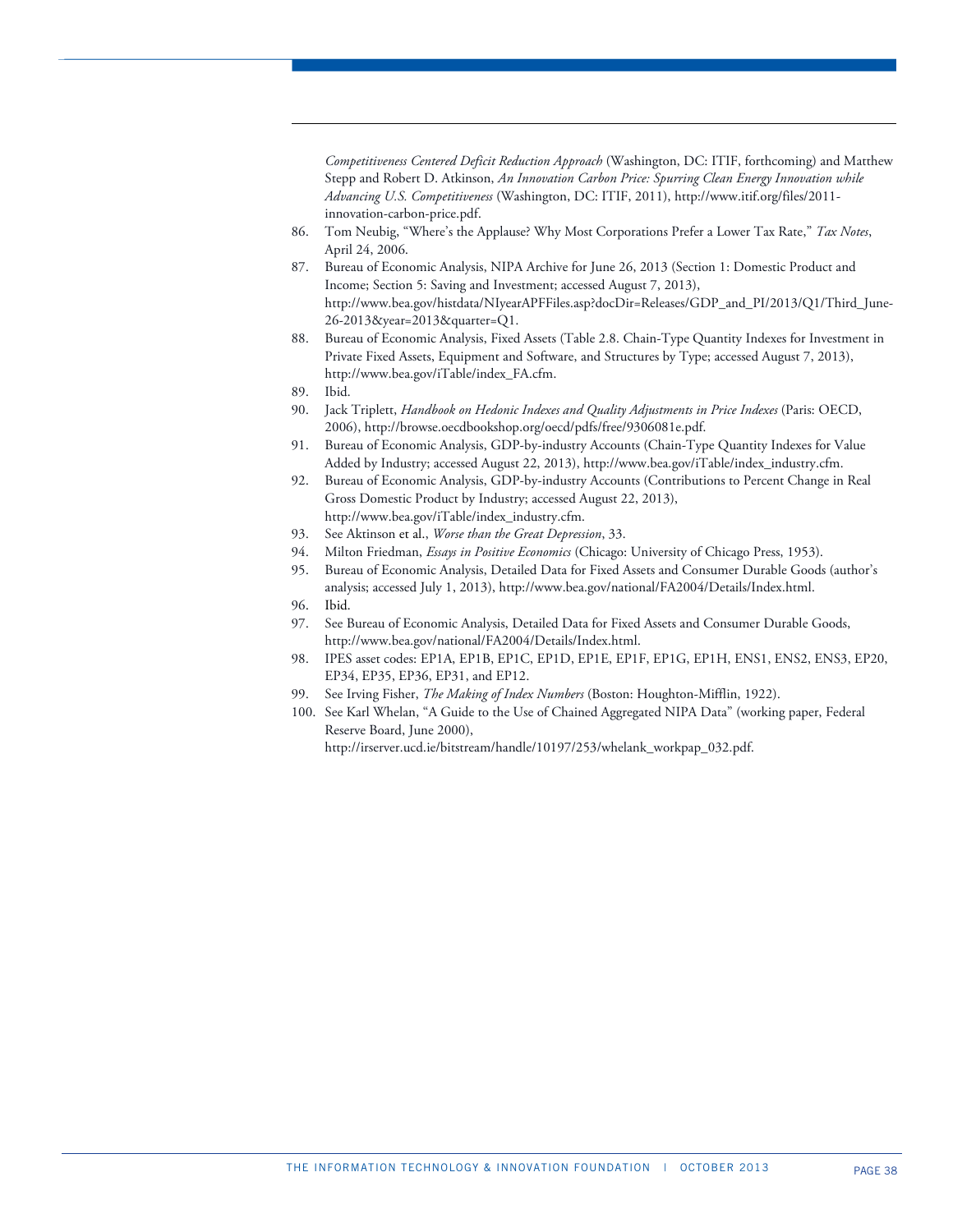*Competitiveness Centered Deficit Reduction Approach* (Washington, DC: ITIF, forthcoming) and Matthew Stepp and Robert D. Atkinson, *An Innovation Carbon Price: Spurring Clean Energy Innovation while Advancing U.S. Competitiveness* (Washington, DC: ITIF, 2011), http://www.itif.org/files/2011 innovation-carbon-price.pdf.

- 86. Tom Neubig, "Where's the Applause? Why Most Corporations Prefer a Lower Tax Rate," *Tax Notes*, April 24, 2006.
- 87. Bureau of Economic Analysis, NIPA Archive for June 26, 2013 (Section 1: Domestic Product and Income; Section 5: Saving and Investment; accessed August 7, 2013), http://www.bea.gov/histdata/NIyearAPFFiles.asp?docDir=Releases/GDP\_and\_PI/2013/Q1/Third\_June-26-2013&year=2013&quarter=Q1.
- 88. Bureau of Economic Analysis, Fixed Assets (Table 2.8. Chain-Type Quantity Indexes for Investment in Private Fixed Assets, Equipment and Software, and Structures by Type; accessed August 7, 2013), http://www.bea.gov/iTable/index\_FA.cfm.
- 89. Ibid.

1

- 90. Jack Triplett, *Handbook on Hedonic Indexes and Quality Adjustments in Price Indexes* (Paris: OECD, 2006), http://browse.oecdbookshop.org/oecd/pdfs/free/9306081e.pdf.
- 91. Bureau of Economic Analysis, GDP-by-industry Accounts (Chain-Type Quantity Indexes for Value Added by Industry; accessed August 22, 2013), http://www.bea.gov/iTable/index\_industry.cfm.
- 92. Bureau of Economic Analysis, GDP-by-industry Accounts (Contributions to Percent Change in Real Gross Domestic Product by Industry; accessed August 22, 2013), http://www.bea.gov/iTable/index\_industry.cfm.
- 93. See Aktinson et al., *Worse than the Great Depression*, 33.
- 94. Milton Friedman, *Essays in Positive Economics* (Chicago: University of Chicago Press, 1953).
- 95. Bureau of Economic Analysis, Detailed Data for Fixed Assets and Consumer Durable Goods (author's analysis; accessed July 1, 2013), http://www.bea.gov/national/FA2004/Details/Index.html.
- 96. Ibid.
- 97. See Bureau of Economic Analysis, Detailed Data for Fixed Assets and Consumer Durable Goods, http://www.bea.gov/national/FA2004/Details/Index.html.
- 98. IPES asset codes: EP1A, EP1B, EP1C, EP1D, EP1E, EP1F, EP1G, EP1H, ENS1, ENS2, ENS3, EP20, EP34, EP35, EP36, EP31, and EP12.
- 99. See Irving Fisher, *The Making of Index Numbers* (Boston: Houghton-Mifflin, 1922).
- 100. See Karl Whelan, "A Guide to the Use of Chained Aggregated NIPA Data" (working paper, Federal Reserve Board, June 2000), http://irserver.ucd.ie/bitstream/handle/10197/253/whelank\_workpap\_032.pdf.